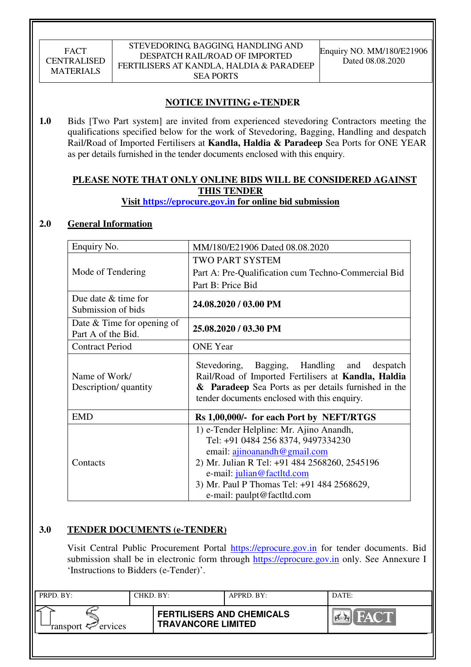# **NOTICE INVITING e-TENDER**

**1.0** Bids [Two Part system] are invited from experienced stevedoring Contractors meeting the qualifications specified below for the work of Stevedoring, Bagging, Handling and despatch Rail/Road of Imported Fertilisers at **Kandla, Haldia & Paradeep** Sea Ports for ONE YEAR as per details furnished in the tender documents enclosed with this enquiry.

# **PLEASE NOTE THAT ONLY ONLINE BIDS WILL BE CONSIDERED AGAINST THIS TENDER**

# **Visit https://eprocure.gov.in for online bid submission**

# **2.0 General Information**

| Enquiry No.                                        | MM/180/E21906 Dated 08.08.2020                                                                                                                                                                                                                                           |  |  |  |  |
|----------------------------------------------------|--------------------------------------------------------------------------------------------------------------------------------------------------------------------------------------------------------------------------------------------------------------------------|--|--|--|--|
|                                                    | TWO PART SYSTEM                                                                                                                                                                                                                                                          |  |  |  |  |
| Mode of Tendering                                  | Part A: Pre-Qualification cum Techno-Commercial Bid                                                                                                                                                                                                                      |  |  |  |  |
|                                                    | Part B: Price Bid                                                                                                                                                                                                                                                        |  |  |  |  |
| Due date $&$ time for<br>Submission of bids        | 24.08.2020 / 03.00 PM                                                                                                                                                                                                                                                    |  |  |  |  |
| Date $&$ Time for opening of<br>Part A of the Bid. | 25.08.2020 / 03.30 PM                                                                                                                                                                                                                                                    |  |  |  |  |
| <b>Contract Period</b>                             | <b>ONE</b> Year                                                                                                                                                                                                                                                          |  |  |  |  |
| Name of Work/<br>Description/ quantity             | Bagging, Handling and despatch<br>Stevedoring,<br>Rail/Road of Imported Fertilisers at Kandla, Haldia<br>& Paradeep Sea Ports as per details furnished in the<br>tender documents enclosed with this enquiry.                                                            |  |  |  |  |
| <b>EMD</b>                                         | Rs 1,00,000/- for each Port by NEFT/RTGS                                                                                                                                                                                                                                 |  |  |  |  |
| Contacts                                           | 1) e-Tender Helpline: Mr. Ajino Anandh,<br>Tel: +91 0484 256 8374, 9497334230<br>email: ajinoanandh@gmail.com<br>2) Mr. Julian R Tel: +91 484 2568260, 2545196<br>e-mail: julian@factltd.com<br>3) Mr. Paul P Thomas Tel: +91 484 2568629,<br>e-mail: paulpt@factltd.com |  |  |  |  |

# **3.0 TENDER DOCUMENTS (e-TENDER)**

Visit Central Public Procurement Portal https://eprocure.gov.in for tender documents. Bid submission shall be in electronic form through https://eprocure.gov.in only. See Annexure I 'Instructions to Bidders (e-Tender)'.

| PRPD. BY:                     | CHKD. BY: |                                                               | $APPRD$ . BY: | DATE: |
|-------------------------------|-----------|---------------------------------------------------------------|---------------|-------|
| ransport <sup>2</sup> ervices |           | <b>FERTILISERS AND CHEMICALS</b><br><b>TRAVANCORE LIMITED</b> |               |       |
|                               |           |                                                               |               |       |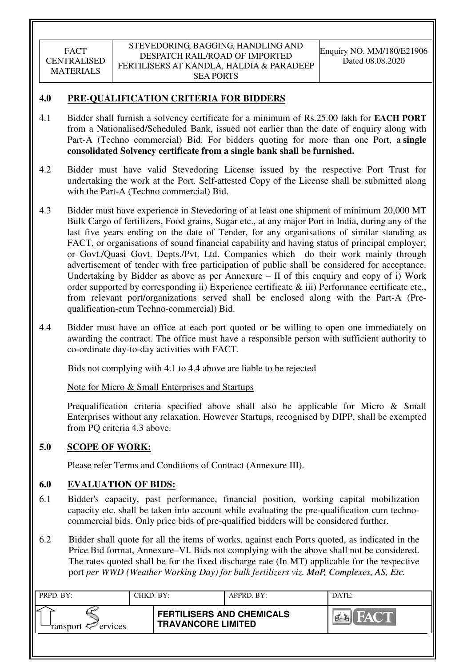# **4.0 PRE-QUALIFICATION CRITERIA FOR BIDDERS**

- 4.1 Bidder shall furnish a solvency certificate for a minimum of Rs.25.00 lakh for **EACH PORT** from a Nationalised/Scheduled Bank, issued not earlier than the date of enquiry along with Part-A (Techno commercial) Bid. For bidders quoting for more than one Port, a **single consolidated Solvency certificate from a single bank shall be furnished.**
- 4.2 Bidder must have valid Stevedoring License issued by the respective Port Trust for undertaking the work at the Port. Self-attested Copy of the License shall be submitted along with the Part-A (Techno commercial) Bid.
- 4.3 Bidder must have experience in Stevedoring of at least one shipment of minimum 20,000 MT Bulk Cargo of fertilizers, Food grains, Sugar etc., at any major Port in India, during any of the last five years ending on the date of Tender, for any organisations of similar standing as FACT, or organisations of sound financial capability and having status of principal employer; or Govt./Quasi Govt. Depts./Pvt. Ltd. Companies which do their work mainly through advertisement of tender with free participation of public shall be considered for acceptance. Undertaking by Bidder as above as per Annexure – II of this enquiry and copy of i) Work order supported by corresponding ii) Experience certificate & iii) Performance certificate etc., from relevant port/organizations served shall be enclosed along with the Part-A (Prequalification-cum Techno-commercial) Bid.
- 4.4 Bidder must have an office at each port quoted or be willing to open one immediately on awarding the contract. The office must have a responsible person with sufficient authority to co-ordinate day-to-day activities with FACT.

Bids not complying with 4.1 to 4.4 above are liable to be rejected

Note for Micro & Small Enterprises and Startups

Prequalification criteria specified above shall also be applicable for Micro & Small Enterprises without any relaxation. However Startups, recognised by DIPP, shall be exempted from PQ criteria 4.3 above.

# **5.0 SCOPE OF WORK:**

Please refer Terms and Conditions of Contract (Annexure III).

# **6.0 EVALUATION OF BIDS:**

- 6.1 Bidder's capacity, past performance, financial position, working capital mobilization capacity etc. shall be taken into account while evaluating the pre-qualification cum technocommercial bids. Only price bids of pre-qualified bidders will be considered further.
- 6.2 Bidder shall quote for all the items of works, against each Ports quoted, as indicated in the Price Bid format, Annexure–VI. Bids not complying with the above shall not be considered. The rates quoted shall be for the fixed discharge rate (In MT) applicable for the respective port *per WWD (Weather Working Day) for bulk fertilizers viz. MoP, Complexes, AS, Etc.*

| PRPD. BY:                     | CHKD. BY: |                                                               | APPRD. BY: | DATE:                              |
|-------------------------------|-----------|---------------------------------------------------------------|------------|------------------------------------|
| ransport <sup>2</sup> ervices |           | <b>FERTILISERS AND CHEMICALS</b><br><b>TRAVANCORE LIMITED</b> |            | THAY <b>MARK</b><br>$\sum_{i=1}^n$ |
|                               |           |                                                               |            |                                    |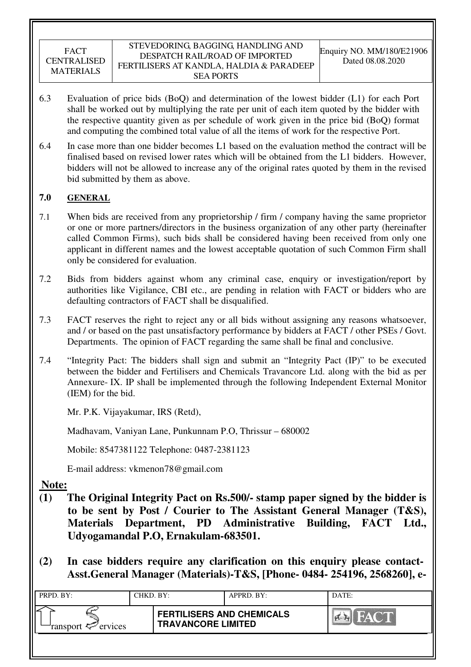- 6.3 Evaluation of price bids (BoQ) and determination of the lowest bidder (L1) for each Port shall be worked out by multiplying the rate per unit of each item quoted by the bidder with the respective quantity given as per schedule of work given in the price bid (BoQ) format and computing the combined total value of all the items of work for the respective Port.
- 6.4 In case more than one bidder becomes L1 based on the evaluation method the contract will be finalised based on revised lower rates which will be obtained from the L1 bidders. However, bidders will not be allowed to increase any of the original rates quoted by them in the revised bid submitted by them as above.

# **7.0 GENERAL**

- 7.1 When bids are received from any proprietorship / firm / company having the same proprietor or one or more partners/directors in the business organization of any other party (hereinafter called Common Firms), such bids shall be considered having been received from only one applicant in different names and the lowest acceptable quotation of such Common Firm shall only be considered for evaluation.
- 7.2 Bids from bidders against whom any criminal case, enquiry or investigation/report by authorities like Vigilance, CBI etc., are pending in relation with FACT or bidders who are defaulting contractors of FACT shall be disqualified.
- 7.3 FACT reserves the right to reject any or all bids without assigning any reasons whatsoever, and / or based on the past unsatisfactory performance by bidders at FACT / other PSEs / Govt. Departments. The opinion of FACT regarding the same shall be final and conclusive.
- 7.4 "Integrity Pact: The bidders shall sign and submit an "Integrity Pact (IP)" to be executed between the bidder and Fertilisers and Chemicals Travancore Ltd. along with the bid as per Annexure- IX. IP shall be implemented through the following Independent External Monitor (IEM) for the bid.

Mr. P.K. Vijayakumar, IRS (Retd),

Madhavam, Vaniyan Lane, Punkunnam P.O, Thrissur – 680002

Mobile: 8547381122 Telephone: 0487-2381123

E-mail address: vkmenon78@gmail.com

**Note:**

- **(1) The Original Integrity Pact on Rs.500/- stamp paper signed by the bidder is to be sent by Post / Courier to The Assistant General Manager (T&S), Materials Department, PD Administrative Building, FACT Ltd., Udyogamandal P.O, Ernakulam-683501.**
- **(2) In case bidders require any clarification on this enquiry please contact-Asst.General Manager (Materials)-T&S, [Phone- 0484- 254196, 2568260], e-**

| PRPD. BY:              | CHKD. BY: |                                                               | APPRD. BY: | DATE:  |
|------------------------|-----------|---------------------------------------------------------------|------------|--------|
| ransport $\ll$ ervices |           | <b>FERTILISERS AND CHEMICALS</b><br><b>TRAVANCORE LIMITED</b> |            | I CARD |
|                        |           |                                                               |            |        |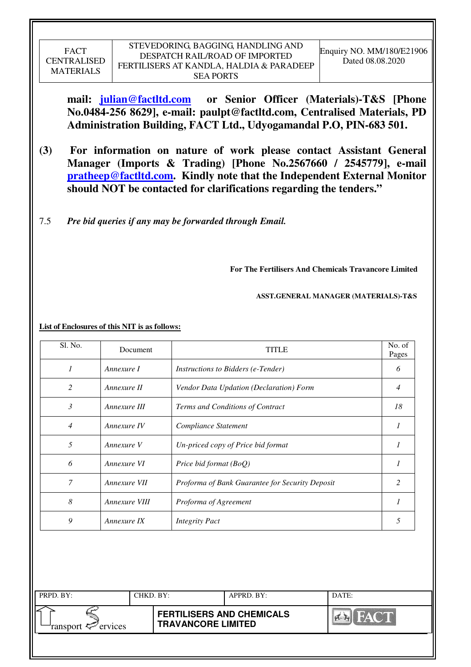**mail: julian@factltd.com or Senior Officer (Materials)-T&S [Phone No.0484-256 8629], e-mail: paulpt@factltd.com, Centralised Materials, PD Administration Building, FACT Ltd., Udyogamandal P.O, PIN-683 501.** 

- **(3) For information on nature of work please contact Assistant General Manager (Imports & Trading) [Phone No.2567660 / 2545779], e-mail pratheep@factltd.com. Kindly note that the Independent External Monitor should NOT be contacted for clarifications regarding the tenders."**
- 7.5 *Pre bid queries if any may be forwarded through Email.*

**For The Fertilisers And Chemicals Travancore Limited** 

 **ASST.GENERAL MANAGER (MATERIALS)-T&S** 

|                | List of Enclosures of this NIT is as follows: |                                           |                 |
|----------------|-----------------------------------------------|-------------------------------------------|-----------------|
| Sl. No.        | Document                                      | <b>TITLE</b>                              | No. of<br>Pages |
|                | Annexure I                                    | <i>Instructions to Bidders (e-Tender)</i> | 6               |
| 2              | Annexure II                                   | Vendor Data Updation (Declaration) Form   | 4               |
| 3              | Annexure III                                  | Terms and Conditions of Contract          | 18              |
| $\overline{4}$ | Annexure IV                                   | Compliance Statement                      |                 |
| 5              | Annexure V                                    | Un-priced copy of Price bid format        |                 |
| 6              | Annexure VI                                   | Price bid format $(BoQ)$                  |                 |

| PRPD. BY:                  | CHKD. BY:                 | APPRD. BY:                       | DATE:      |
|----------------------------|---------------------------|----------------------------------|------------|
| ransport $\approx$ ervices | <b>TRAVANCORE LIMITED</b> | <b>FERTILISERS AND CHEMICALS</b> | <b>A-R</b> |
|                            |                           |                                  |            |

*7 Annexure VII Proforma of Bank Guarantee for Security Deposit 2* 

*8 Annexure VIII Proforma of Agreement 1* 

*9 Annexure IX Integrity Pact 5*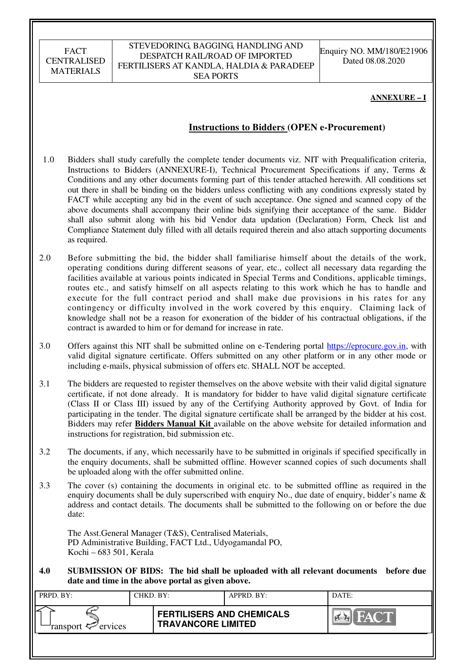#### STEVEDORING, BAGGING, HANDLING AND DESPATCH RAIL/ROAD OF IMPORTED FERTILISERS AT KANDLA, HALDIA & PARADEEP SEA PORTS

Enquiry NO. MM/180/E21906 Dated 08.08.2020

#### **ANNEXURE – I**

## **Instructions to Bidders (OPEN e-Procurement)**

- 1.0 Bidders shall study carefully the complete tender documents viz. NIT with Prequalification criteria, Instructions to Bidders (ANNEXURE-I), Technical Procurement Specifications if any, Terms & Conditions and any other documents forming part of this tender attached herewith. All conditions set out there in shall be binding on the bidders unless conflicting with any conditions expressly stated by FACT while accepting any bid in the event of such acceptance. One signed and scanned copy of the above documents shall accompany their online bids signifying their acceptance of the same. Bidder shall also submit along with his bid Vendor data updation (Declaration) Form, Check list and Compliance Statement duly filled with all details required therein and also attach supporting documents as required.
- 2.0 Before submitting the bid, the bidder shall familiarise himself about the details of the work, operating conditions during different seasons of year, etc., collect all necessary data regarding the facilities available at various points indicated in Special Terms and Conditions, applicable timings, routes etc., and satisfy himself on all aspects relating to this work which he has to handle and execute for the full contract period and shall make due provisions in his rates for any contingency or difficulty involved in the work covered by this enquiry. Claiming lack of knowledge shall not be a reason for exoneration of the bidder of his contractual obligations, if the contract is awarded to him or for demand for increase in rate.
- 3.0 Offers against this NIT shall be submitted online on e-Tendering portal https://eprocure.gov.in, with valid digital signature certificate. Offers submitted on any other platform or in any other mode or including e-mails, physical submission of offers etc. SHALL NOT be accepted.
- 3.1 The bidders are requested to register themselves on the above website with their valid digital signature certificate, if not done already. It is mandatory for bidder to have valid digital signature certificate (Class II or Class III) issued by any of the Certifying Authority approved by Govt. of India for participating in the tender. The digital signature certificate shall be arranged by the bidder at his cost. Bidders may refer **Bidders Manual Kit** available on the above website for detailed information and instructions for registration, bid submission etc.
- 3.2 The documents, if any, which necessarily have to be submitted in originals if specified specifically in the enquiry documents, shall be submitted offline. However scanned copies of such documents shall be uploaded along with the offer submitted online.
- 3.3 The cover (s) containing the documents in original etc. to be submitted offline as required in the enquiry documents shall be duly superscribed with enquiry No., due date of enquiry, bidder's name & address and contact details. The documents shall be submitted to the following on or before the due date:

The Asst.General Manager (T&S), Centralised Materials, PD Administrative Building, FACT Ltd., Udyogamandal PO, Kochi – 683 501, Kerala

**4.0 SUBMISSION OF BIDS: The bid shall be uploaded with all relevant documents before due date and time in the above portal as given above.** 

| PRPD. BY:              | CHKD. BY: |                                                               | APPRD. BY: | DATE:    |
|------------------------|-----------|---------------------------------------------------------------|------------|----------|
| ransport $\ll$ ervices |           | <b>FERTILISERS AND CHEMICALS</b><br><b>TRAVANCORE LIMITED</b> |            | $\alpha$ |
|                        |           |                                                               |            |          |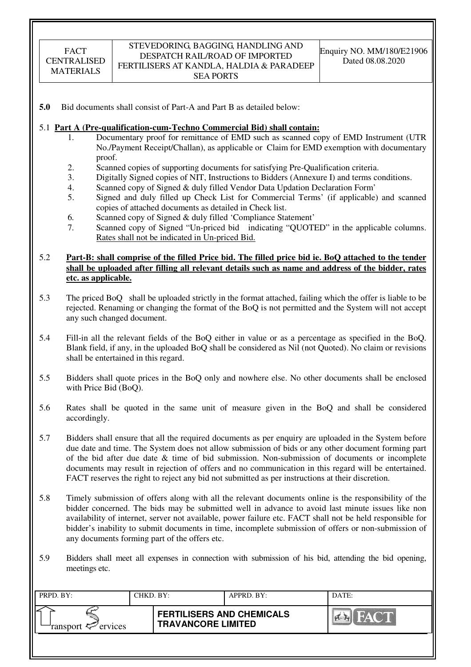#### STEVEDORING, BAGGING, HANDLING AND DESPATCH RAIL/ROAD OF IMPORTED FERTILISERS AT KANDLA, HALDIA & PARADEEP SEA PORTS

**5.0** Bid documents shall consist of Part-A and Part B as detailed below:

#### 5.1 **Part A (Pre-qualification-cum-Techno Commercial Bid) shall contain:**

- 1. Documentary proof for remittance of EMD such as scanned copy of EMD Instrument (UTR No./Payment Receipt/Challan), as applicable or Claim for EMD exemption with documentary proof.
- 2. Scanned copies of supporting documents for satisfying Pre-Qualification criteria.
- 3. Digitally Signed copies of NIT, Instructions to Bidders (Annexure I) and terms conditions.
- 4. Scanned copy of Signed & duly filled Vendor Data Updation Declaration Form'
- 5. Signed and duly filled up Check List for Commercial Terms' (if applicable) and scanned copies of attached documents as detailed in Check list.
- 6. Scanned copy of Signed & duly filled 'Compliance Statement'
- 7. Scanned copy of Signed "Un-priced bid indicating "QUOTED" in the applicable columns. Rates shall not be indicated in Un-priced Bid.

#### 5.2 **Part-B: shall comprise of the filled Price bid. The filled price bid ie. BoQ attached to the tender shall be uploaded after filling all relevant details such as name and address of the bidder, rates etc. as applicable.**

- 5.3 The priced BoQ shall be uploaded strictly in the format attached, failing which the offer is liable to be rejected. Renaming or changing the format of the BoQ is not permitted and the System will not accept any such changed document.
- 5.4 Fill-in all the relevant fields of the BoQ either in value or as a percentage as specified in the BoQ. Blank field, if any, in the uploaded BoQ shall be considered as Nil (not Quoted). No claim or revisions shall be entertained in this regard.
- 5.5 Bidders shall quote prices in the BoQ only and nowhere else. No other documents shall be enclosed with Price Bid (BoQ).
- 5.6 Rates shall be quoted in the same unit of measure given in the BoQ and shall be considered accordingly.
- 5.7 Bidders shall ensure that all the required documents as per enquiry are uploaded in the System before due date and time. The System does not allow submission of bids or any other document forming part of the bid after due date & time of bid submission. Non-submission of documents or incomplete documents may result in rejection of offers and no communication in this regard will be entertained. FACT reserves the right to reject any bid not submitted as per instructions at their discretion.
- 5.8 Timely submission of offers along with all the relevant documents online is the responsibility of the bidder concerned. The bids may be submitted well in advance to avoid last minute issues like non availability of internet, server not available, power failure etc. FACT shall not be held responsible for bidder's inability to submit documents in time, incomplete submission of offers or non-submission of any documents forming part of the offers etc.
- 5.9 Bidders shall meet all expenses in connection with submission of his bid, attending the bid opening, meetings etc.

| PRPD. BY:              | CHKD. BY: |                                                               | APPRD. BY: | DATE:       |
|------------------------|-----------|---------------------------------------------------------------|------------|-------------|
| ransport $\ll$ ervices |           | <b>FERTILISERS AND CHEMICALS</b><br><b>TRAVANCORE LIMITED</b> |            | <b>FACT</b> |
|                        |           |                                                               |            |             |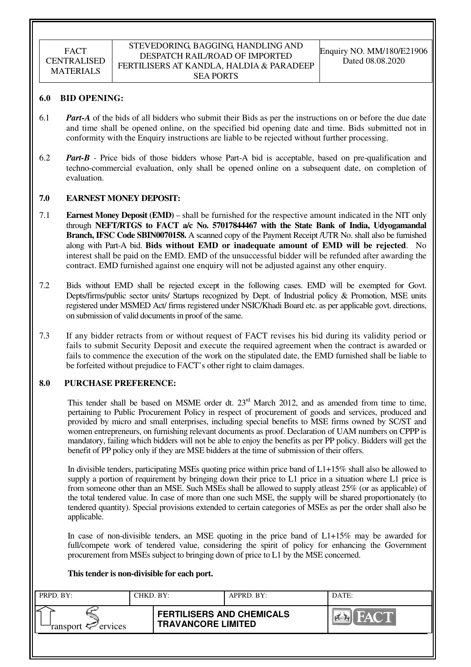#### STEVEDORING, BAGGING, HANDLING AND DESPATCH RAIL/ROAD OF IMPORTED FERTILISERS AT KANDLA, HALDIA & PARADEEP SEA PORTS

#### **6.0 BID OPENING:**

- 6.1 *Part-A* of the bids of all bidders who submit their Bids as per the instructions on or before the due date and time shall be opened online, on the specified bid opening date and time. Bids submitted not in conformity with the Enquiry instructions are liable to be rejected without further processing.
- 6.2 *Part-B* Price bids of those bidders whose Part-A bid is acceptable, based on pre-qualification and techno-commercial evaluation, only shall be opened online on a subsequent date, on completion of evaluation.

#### **7.0 EARNEST MONEY DEPOSIT:**

- 7.1 **Earnest Money Deposit (EMD)** shall be furnished for the respective amount indicated in the NIT only through **NEFT/RTGS to FACT a/c No. 57017844467 with the State Bank of India, Udyogamandal Branch, IFSC Code SBIN0070158.** A scanned copy of the Payment Receipt /UTR No. shall also be furnished along with Part-A bid. **Bids without EMD or inadequate amount of EMD will be rejected**. No interest shall be paid on the EMD. EMD of the unsuccessful bidder will be refunded after awarding the contract. EMD furnished against one enquiry will not be adjusted against any other enquiry.
- 7.2 Bids without EMD shall be rejected except in the following cases. EMD will be exempted for Govt. Depts/firms/public sector units/ Startups recognized by Dept. of Industrial policy & Promotion, MSE units registered under MSMED Act/ firms registered under NSIC/Khadi Board etc. as per applicable govt. directions, on submission of valid documents in proof of the same.
- 7.3 If any bidder retracts from or without request of FACT revises his bid during its validity period or fails to submit Security Deposit and execute the required agreement when the contract is awarded or fails to commence the execution of the work on the stipulated date, the EMD furnished shall be liable to be forfeited without prejudice to FACT's other right to claim damages.

#### **8.0 PURCHASE PREFERENCE:**

This tender shall be based on MSME order dt.  $23<sup>rd</sup>$  March 2012, and as amended from time to time, pertaining to Public Procurement Policy in respect of procurement of goods and services, produced and provided by micro and small enterprises, including special benefits to MSE firms owned by SC/ST and women entrepreneurs, on furnishing relevant documents as proof. Declaration of UAM numbers on CPPP is mandatory, failing which bidders will not be able to enjoy the benefits as per PP policy. Bidders will get the benefit of PP policy only if they are MSE bidders at the time of submission of their offers.

In divisible tenders, participating MSEs quoting price within price band of L1+15% shall also be allowed to supply a portion of requirement by bringing down their price to L1 price in a situation where L1 price is from someone other than an MSE. Such MSEs shall be allowed to supply atleast 25% (or as applicable) of the total tendered value. In case of more than one such MSE, the supply will be shared proportionately (to tendered quantity). Special provisions extended to certain categories of MSEs as per the order shall also be applicable.

In case of non-divisible tenders, an MSE quoting in the price band of L1+15% may be awarded for full/compete work of tendered value, considering the spirit of policy for enhancing the Government procurement from MSEs subject to bringing down of price to L1 by the MSE concerned.

#### **This tender is non-divisible for each port.**

| PRPD. BY:                     | CHKD. BY: |                                                               | APPRD. BY: | DATE: |
|-------------------------------|-----------|---------------------------------------------------------------|------------|-------|
| ransport <sup>2</sup> ervices |           | <b>FERTILISERS AND CHEMICALS</b><br><b>TRAVANCORE LIMITED</b> |            | FACT  |
|                               |           |                                                               |            |       |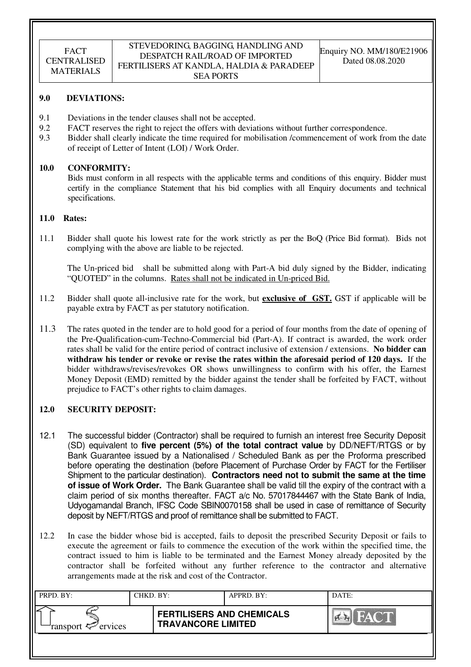#### STEVEDORING, BAGGING, HANDLING AND DESPATCH RAIL/ROAD OF IMPORTED FERTILISERS AT KANDLA, HALDIA & PARADEEP SEA PORTS

#### **9.0 DEVIATIONS:**

- 9.1 Deviations in the tender clauses shall not be accepted.
- 9.2 FACT reserves the right to reject the offers with deviations without further correspondence.
- 9.3 Bidder shall clearly indicate the time required for mobilisation /commencement of work from the date of receipt of Letter of Intent (LOI) / Work Order.

#### **10.0 CONFORMITY:**

Bids must conform in all respects with the applicable terms and conditions of this enquiry. Bidder must certify in the compliance Statement that his bid complies with all Enquiry documents and technical specifications.

#### **11.0 Rates:**

11.1 Bidder shall quote his lowest rate for the work strictly as per the BoQ (Price Bid format). Bids not complying with the above are liable to be rejected.

The Un-priced bid shall be submitted along with Part-A bid duly signed by the Bidder, indicating "QUOTED" in the columns. Rates shall not be indicated in Un-priced Bid.

- 11.2 Bidder shall quote all-inclusive rate for the work, but **exclusive of GST.** GST if applicable will be payable extra by FACT as per statutory notification.
- 11.3 The rates quoted in the tender are to hold good for a period of four months from the date of opening of the Pre-Qualification-cum-Techno-Commercial bid (Part-A). If contract is awarded, the work order rates shall be valid for the entire period of contract inclusive of extension / extensions. **No bidder can withdraw his tender or revoke or revise the rates within the aforesaid period of 120 days.** If the bidder withdraws/revises/revokes OR shows unwillingness to confirm with his offer, the Earnest Money Deposit (EMD) remitted by the bidder against the tender shall be forfeited by FACT, without prejudice to FACT's other rights to claim damages.

## **12.0 SECURITY DEPOSIT:**

- 12.1 The successful bidder (Contractor) shall be required to furnish an interest free Security Deposit (SD) equivalent to **five percent (5%) of the total contract value** by DD/NEFT/RTGS or by Bank Guarantee issued by a Nationalised / Scheduled Bank as per the Proforma prescribed before operating the destination (before Placement of Purchase Order by FACT for the Fertiliser Shipment to the particular destination). **Contractors need not to submit the same at the time of issue of Work Order.** The Bank Guarantee shall be valid till the expiry of the contract with a claim period of six months thereafter. FACT a/c No. 57017844467 with the State Bank of India, Udyogamandal Branch, IFSC Code SBIN0070158 shall be used in case of remittance of Security deposit by NEFT/RTGS and proof of remittance shall be submitted to FACT.
- 12.2 In case the bidder whose bid is accepted, fails to deposit the prescribed Security Deposit or fails to execute the agreement or fails to commence the execution of the work within the specified time, the contract issued to him is liable to be terminated and the Earnest Money already deposited by the contractor shall be forfeited without any further reference to the contractor and alternative arrangements made at the risk and cost of the Contractor.

| PRPD. BY:                     | CHKD. BY: |                                                               | APPRD. BY: | DATE:                            |
|-------------------------------|-----------|---------------------------------------------------------------|------------|----------------------------------|
| ransport <sup>2</sup> ervices |           | <b>FERTILISERS AND CHEMICALS</b><br><b>TRAVANCORE LIMITED</b> |            | <b>THEAT CALL</b><br>I Correi Ka |
|                               |           |                                                               |            |                                  |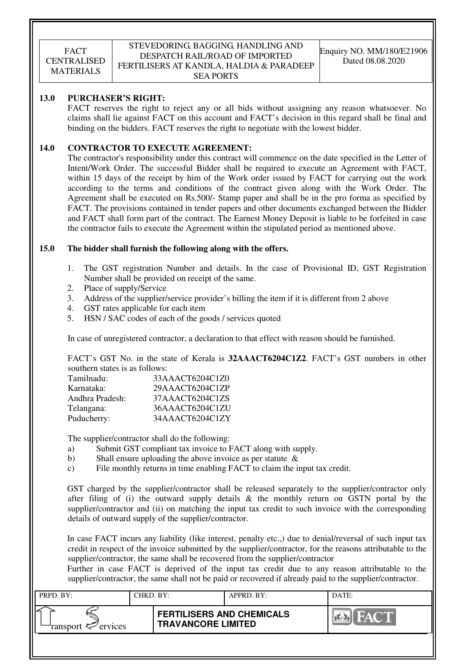#### STEVEDORING, BAGGING, HANDLING AND DESPATCH RAIL/ROAD OF IMPORTED FERTILISERS AT KANDLA, HALDIA & PARADEEP SEA PORTS

#### **13.0 PURCHASER'S RIGHT:**

 FACT reserves the right to reject any or all bids without assigning any reason whatsoever. No claims shall lie against FACT on this account and FACT's decision in this regard shall be final and binding on the bidders. FACT reserves the right to negotiate with the lowest bidder.

#### **14.0 CONTRACTOR TO EXECUTE AGREEMENT:**

 The contractor's responsibility under this contract will commence on the date specified in the Letter of Intent/Work Order. The successful Bidder shall be required to execute an Agreement with FACT, within 15 days of the receipt by him of the Work order issued by FACT for carrying out the work according to the terms and conditions of the contract given along with the Work Order. The Agreement shall be executed on Rs.500/- Stamp paper and shall be in the pro forma as specified by FACT. The provisions contained in tender papers and other documents exchanged between the Bidder and FACT shall form part of the contract. The Earnest Money Deposit is liable to be forfeited in case the contractor fails to execute the Agreement within the stipulated period as mentioned above.

#### **15.0 The bidder shall furnish the following along with the offers.**

- 1. The GST registration Number and details. In the case of Provisional ID, GST Registration Number shall be provided on receipt of the same.
- 2. Place of supply/Service
- 3. Address of the supplier/service provider's billing the item if it is different from 2 above
- 4. GST rates applicable for each item
- 5. HSN / SAC codes of each of the goods / services quoted

In case of unregistered contractor, a declaration to that effect with reason should be furnished.

FACT's GST No. in the state of Kerala is **32AAACT6204C1Z2**. FACT's GST numbers in other southern states is as follows:

| Tamilnadu:      | 33AAACT6204C1Z0 |
|-----------------|-----------------|
| Karnataka:      | 29AAACT6204C1ZP |
| Andhra Pradesh: | 37AAACT6204C1ZS |
| Telangana:      | 36AAACT6204C1ZU |
| Puducherry:     | 34AAACT6204C1ZY |

The supplier/contractor shall do the following:

- a) Submit GST compliant tax invoice to FACT along with supply.
- b) Shall ensure uploading the above invoice as per statute  $\&$
- c) File monthly returns in time enabling FACT to claim the input tax credit.

GST charged by the supplier/contractor shall be released separately to the supplier/contractor only after filing of (i) the outward supply details  $\&$  the monthly return on GSTN portal by the supplier/contractor and (ii) on matching the input tax credit to such invoice with the corresponding details of outward supply of the supplier/contractor.

In case FACT incurs any liability (like interest, penalty etc.,) due to denial/reversal of such input tax credit in respect of the invoice submitted by the supplier/contractor, for the reasons attributable to the supplier/contractor, the same shall be recovered from the supplier/contractor

Further in case FACT is deprived of the input tax credit due to any reason attributable to the supplier/contractor, the same shall not be paid or recovered if already paid to the supplier/contractor.

| PRPD. BY:                     | CHKD. BY: |                                                               | APPRD. BY: | DATE: |
|-------------------------------|-----------|---------------------------------------------------------------|------------|-------|
| ransport <sup>2</sup> ervices |           | <b>FERTILISERS AND CHEMICALS</b><br><b>TRAVANCORE LIMITED</b> |            | FACT  |
|                               |           |                                                               |            |       |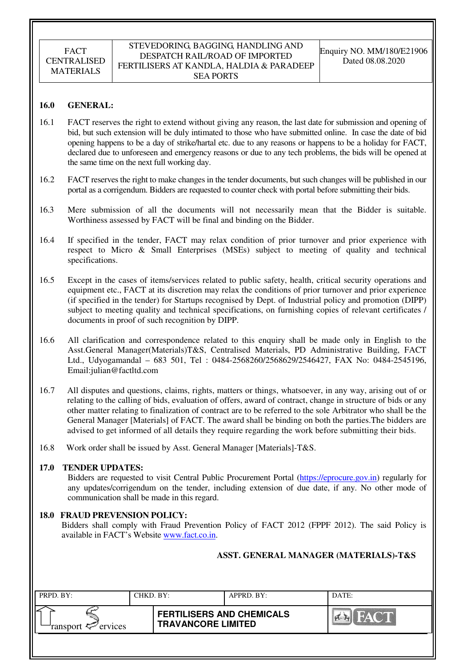#### **16.0 GENERAL:**

- 16.1 FACT reserves the right to extend without giving any reason, the last date for submission and opening of bid, but such extension will be duly intimated to those who have submitted online. In case the date of bid opening happens to be a day of strike/hartal etc. due to any reasons or happens to be a holiday for FACT, declared due to unforeseen and emergency reasons or due to any tech problems, the bids will be opened at the same time on the next full working day.
- 16.2 FACT reserves the right to make changes in the tender documents, but such changes will be published in our portal as a corrigendum. Bidders are requested to counter check with portal before submitting their bids.
- 16.3 Mere submission of all the documents will not necessarily mean that the Bidder is suitable. Worthiness assessed by FACT will be final and binding on the Bidder.
- 16.4 If specified in the tender, FACT may relax condition of prior turnover and prior experience with respect to Micro & Small Enterprises (MSEs) subject to meeting of quality and technical specifications.
- 16.5 Except in the cases of items/services related to public safety, health, critical security operations and equipment etc., FACT at its discretion may relax the conditions of prior turnover and prior experience (if specified in the tender) for Startups recognised by Dept. of Industrial policy and promotion (DIPP) subject to meeting quality and technical specifications, on furnishing copies of relevant certificates / documents in proof of such recognition by DIPP.
- 16.6 All clarification and correspondence related to this enquiry shall be made only in English to the Asst.General Manager(Materials)T&S, Centralised Materials, PD Administrative Building, FACT Ltd., Udyogamandal – 683 501, Tel : 0484-2568260/2568629/2546427, FAX No: 0484-2545196, Email:julian@factltd.com
- 16.7 All disputes and questions, claims, rights, matters or things, whatsoever, in any way, arising out of or relating to the calling of bids, evaluation of offers, award of contract, change in structure of bids or any other matter relating to finalization of contract are to be referred to the sole Arbitrator who shall be the General Manager [Materials] of FACT. The award shall be binding on both the parties.The bidders are advised to get informed of all details they require regarding the work before submitting their bids.
- 16.8 Work order shall be issued by Asst. General Manager [Materials]-T&S.

#### **17.0 TENDER UPDATES:**

Bidders are requested to visit Central Public Procurement Portal (https://eprocure.gov.in) regularly for any updates/corrigendum on the tender, including extension of due date, if any. No other mode of communication shall be made in this regard.

## **18.0 FRAUD PREVENSION POLICY:**

Bidders shall comply with Fraud Prevention Policy of FACT 2012 (FPPF 2012). The said Policy is available in FACT's Website www.fact.co.in.

## **ASST. GENERAL MANAGER (MATERIALS)-T&S**

| PRPD. BY:              | CHKD. BY: |                                                               | APPRD. BY: | DATE:                |
|------------------------|-----------|---------------------------------------------------------------|------------|----------------------|
| ransport $\ll$ ervices |           | <b>FERTILISERS AND CHEMICALS</b><br><b>TRAVANCORE LIMITED</b> |            | <b>THE YAY ON BE</b> |
|                        |           |                                                               |            |                      |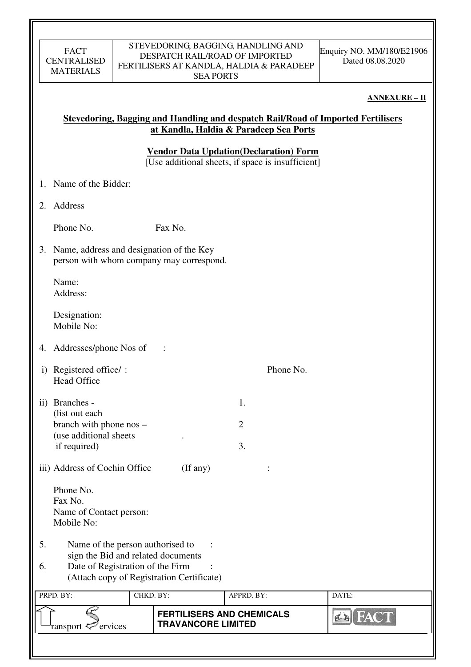#### STEVEDORING, BAGGING, HANDLING AND DESPATCH RAIL/ROAD OF IMPORTED FERTILISERS AT KANDLA, HALDIA & PARADEEP SEA PORTS

#### **ANNEXURE – II**

# **Stevedoring, Bagging and Handling and despatch Rail/Road of Imported Fertilisers at Kandla, Haldia & Paradeep Sea Ports**

**Vendor Data Updation(Declaration) Form** 

 $\overline{[Use additional sheets, if space is insufficient]}$ 

- 1. Name of the Bidder:
- 2. Address

Phone No. Fax No.

3. Name, address and designation of the Key person with whom company may correspond.

Name: Address:

Designation: Mobile No:

- 4. Addresses/phone Nos of :
- i) Registered office/ : Phone No. Head Office
- ii) Branches 1. (list out each  $branch with phone nos - 2$  (use additional sheets . if required) 3.

iii) Address of Cochin Office (If any) :

 Phone No. Fax No. Name of Contact person: Mobile No:

- 5. Name of the person authorised to : sign the Bid and related documents
- 6. Date of Registration of the Firm : (Attach copy of Registration Certificate)

| PRPD. BY:              | CHKD. BY: |                                                               | APPRD. BY: | DATE: |
|------------------------|-----------|---------------------------------------------------------------|------------|-------|
| ransport $\ll$ ervices |           | <b>FERTILISERS AND CHEMICALS</b><br><b>TRAVANCORE LIMITED</b> |            |       |
|                        |           |                                                               |            |       |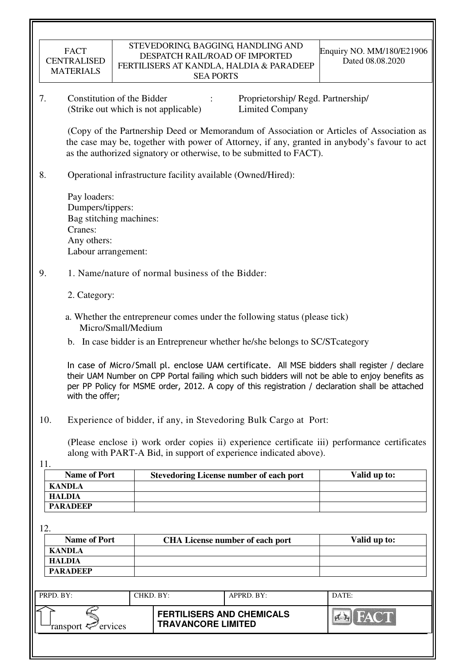| FACT               |
|--------------------|
| <b>CENTRALISED</b> |
| <b>MATERIALS</b>   |

7. Constitution of the Bidder : Proprietorship/ Regd. Partnership/ (Strike out which is not applicable) Limited Company

 (Copy of the Partnership Deed or Memorandum of Association or Articles of Association as the case may be, together with power of Attorney, if any, granted in anybody's favour to act as the authorized signatory or otherwise, to be submitted to FACT).

8. Operational infrastructure facility available (Owned/Hired):

 Pay loaders: Dumpers/tippers: Bag stitching machines: Cranes: Any others: Labour arrangement:

# 9. 1. Name/nature of normal business of the Bidder:

- 2. Category:
- a. Whether the entrepreneur comes under the following status (please tick) Micro/Small/Medium
- b. In case bidder is an Entrepreneur whether he/she belongs to SC/STcategory

In case of Micro/Small pl. enclose UAM certificate. All MSE bidders shall register / declare their UAM Number on CPP Portal failing which such bidders will not be able to enjoy benefits as per PP Policy for MSME order, 2012. A copy of this registration / declaration shall be attached with the offer;

10. Experience of bidder, if any, in Stevedoring Bulk Cargo at Port:

(Please enclose i) work order copies ii) experience certificate iii) performance certificates along with PART-A Bid, in support of experience indicated above).

11.

| <b>Name of Port</b> | <b>Stevedoring License number of each port</b> | Valid up to: |
|---------------------|------------------------------------------------|--------------|
| KANDLA              |                                                |              |
| HALDIA              |                                                |              |
| <b>PARADEEP</b>     |                                                |              |

12.

| <b>Name of Port</b> | <b>CHA License number of each port</b> | Valid up to: |
|---------------------|----------------------------------------|--------------|
| <b>KANDLA</b>       |                                        |              |
| HALDIA              |                                        |              |
| <b>PARADEEP</b>     |                                        |              |

| PRPD. BY:              | CHKD. BY: |                                                               | $APPRD$ . BY: | DATE: |
|------------------------|-----------|---------------------------------------------------------------|---------------|-------|
| ransport $\ll$ ervices |           | <b>FERTILISERS AND CHEMICALS</b><br><b>TRAVANCORE LIMITED</b> |               | FACTI |
|                        |           |                                                               |               |       |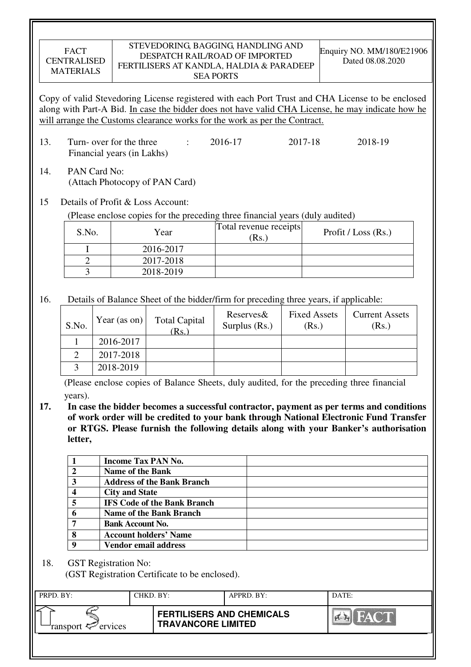#### STEVEDORING, BAGGING, HANDLING AND DESPATCH RAIL/ROAD OF IMPORTED FERTILISERS AT KANDLA, HALDIA & PARADEEP SEA PORTS

Copy of valid Stevedoring License registered with each Port Trust and CHA License to be enclosed along with Part-A Bid. In case the bidder does not have valid CHA License, he may indicate how he will arrange the Customs clearance works for the work as per the Contract.

- 13. Turn- over for the three : 2016-17 2017-18 2018-19 Financial years (in Lakhs)
- 14. PAN Card No: (Attach Photocopy of PAN Card)

# 15 Details of Profit & Loss Account:

(Please enclose copies for the preceding three financial years (duly audited)

| S.No. | Year      | Total revenue receipts<br>(Rs. | Profit / Loss $(Rs.)$ |
|-------|-----------|--------------------------------|-----------------------|
|       | 2016-2017 |                                |                       |
|       | 2017-2018 |                                |                       |
|       | 2018-2019 |                                |                       |

16. Details of Balance Sheet of the bidder/firm for preceding three years, if applicable:

| S.No. | Year (as on) | <b>Total Capital</b><br>(Rs. | Reserves&<br>Surplus $(Rs.)$ | <b>Fixed Assets</b><br>(Rs.) | <b>Current Assets</b><br>(Rs.) |
|-------|--------------|------------------------------|------------------------------|------------------------------|--------------------------------|
|       | 2016-2017    |                              |                              |                              |                                |
|       | 2017-2018    |                              |                              |                              |                                |
|       | 2018-2019    |                              |                              |                              |                                |

 (Please enclose copies of Balance Sheets, duly audited, for the preceding three financial years).

**17. In case the bidder becomes a successful contractor, payment as per terms and conditions of work order will be credited to your bank through National Electronic Fund Transfer or RTGS. Please furnish the following details along with your Banker's authorisation letter,** 

|   | <b>Income Tax PAN No.</b>          |
|---|------------------------------------|
|   | <b>Name of the Bank</b>            |
|   | <b>Address of the Bank Branch</b>  |
|   | <b>City and State</b>              |
|   | <b>IFS Code of the Bank Branch</b> |
|   | <b>Name of the Bank Branch</b>     |
| 7 | <b>Bank Account No.</b>            |
| 8 | <b>Account holders' Name</b>       |
|   | <b>Vendor email address</b>        |

18. GST Registration No:

(GST Registration Certificate to be enclosed).

| PRPD. BY:              | CHKD. BY: |                                                               | APPRD. BY: | DATE:         |
|------------------------|-----------|---------------------------------------------------------------|------------|---------------|
| ransport $\ll$ ervices |           | <b>FERTILISERS AND CHEMICALS</b><br><b>TRAVANCORE LIMITED</b> |            | <b>TEMPER</b> |
|                        |           |                                                               |            |               |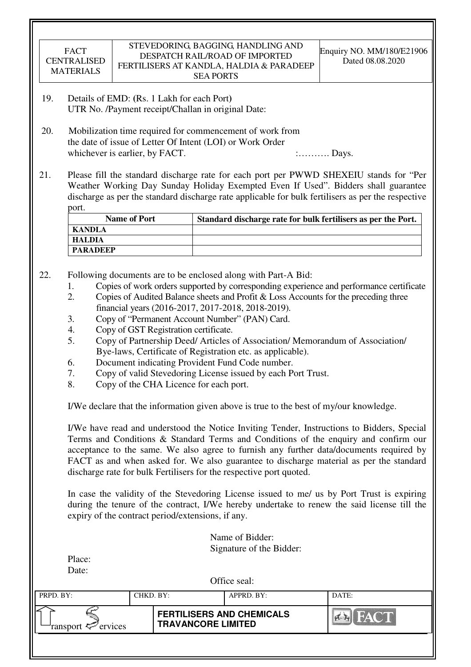| <b>FACT</b><br><b>CENTRALISED</b><br><b>MATERIALS</b> | STEVEDORING, BAGGING, HANDLING AND<br>DESPATCH RAIL/ROAD OF IMPORTED<br>FERTILISERS AT KANDLA, HALDIA & PARADEEP<br><b>SEA PORTS</b> | Enquiry NO. MM/180/E21906<br>Dated 08.08.2020 |
|-------------------------------------------------------|--------------------------------------------------------------------------------------------------------------------------------------|-----------------------------------------------|
| 10                                                    | Details of $FMD: (D_6, 1)$ also for each $Dort$                                                                                      |                                               |

- 19. Details of EMD: **(**Rs. 1 Lakh for each Port**)**  UTR No. /Payment receipt/Challan in original Date:
- 20. Mobilization time required for commencement of work from the date of issue of Letter Of Intent (LOI) or Work Order whichever is earlier, by FACT.  $\ldots$  : Days.
- 21. Please fill the standard discharge rate for each port per PWWD SHEXEIU stands for "Per Weather Working Day Sunday Holiday Exempted Even If Used". Bidders shall guarantee discharge as per the standard discharge rate applicable for bulk fertilisers as per the respective port.

| <b>Name of Port</b> | Standard discharge rate for bulk fertilisers as per the Port. |
|---------------------|---------------------------------------------------------------|
| KANDLA              |                                                               |
| <b>HALDIA</b>       |                                                               |
| <b>PARADEEP</b>     |                                                               |

- 22. Following documents are to be enclosed along with Part-A Bid:
	- 1. Copies of work orders supported by corresponding experience and performance certificate
	- 2. Copies of Audited Balance sheets and Profit & Loss Accounts for the preceding three financial years (2016-2017, 2017-2018, 2018-2019).
	- 3. Copy of "Permanent Account Number" (PAN) Card.
	- 4. Copy of GST Registration certificate.
	- 5. Copy of Partnership Deed/ Articles of Association/ Memorandum of Association/ Bye-laws, Certificate of Registration etc. as applicable).
	- 6. Document indicating Provident Fund Code number.
	- 7. Copy of valid Stevedoring License issued by each Port Trust.
	- 8. Copy of the CHA Licence for each port.

I/We declare that the information given above is true to the best of my/our knowledge.

 I/We have read and understood the Notice Inviting Tender, Instructions to Bidders, Special Terms and Conditions & Standard Terms and Conditions of the enquiry and confirm our acceptance to the same. We also agree to furnish any further data/documents required by FACT as and when asked for. We also guarantee to discharge material as per the standard discharge rate for bulk Fertilisers for the respective port quoted.

In case the validity of the Stevedoring License issued to me/ us by Port Trust is expiring during the tenure of the contract, I/We hereby undertake to renew the said license till the expiry of the contract period/extensions, if any.

> Name of Bidder: Signature of the Bidder:

| Place: |  |
|--------|--|
| Date:  |  |

Office seal:

| PRPD. BY:              | CHKD. BY: |                                                               | APPRD. BY: | DATE:          |
|------------------------|-----------|---------------------------------------------------------------|------------|----------------|
| ransport $\ll$ ervices |           | <b>FERTILISERS AND CHEMICALS</b><br><b>TRAVANCORE LIMITED</b> |            | $\sum_{i=1}^n$ |
|                        |           |                                                               |            |                |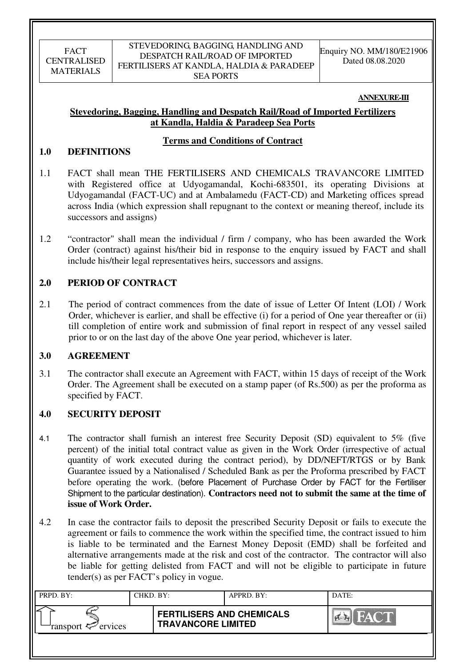#### **ANNEXURE-III**

# **Stevedoring, Bagging, Handling and Despatch Rail/Road of Imported Fertilizers at Kandla, Haldia & Paradeep Sea Ports**

## **Terms and Conditions of Contract**

## **1.0 DEFINITIONS**

- 1.1 FACT shall mean THE FERTILISERS AND CHEMICALS TRAVANCORE LIMITED with Registered office at Udyogamandal, Kochi-683501, its operating Divisions at Udyogamandal (FACT-UC) and at Ambalamedu (FACT-CD) and Marketing offices spread across India (which expression shall repugnant to the context or meaning thereof, include its successors and assigns)
- 1.2 "contractor" shall mean the individual / firm / company, who has been awarded the Work Order (contract) against his/their bid in response to the enquiry issued by FACT and shall include his/their legal representatives heirs, successors and assigns.

## **2.0 PERIOD OF CONTRACT**

2.1 The period of contract commences from the date of issue of Letter Of Intent (LOI) / Work Order, whichever is earlier, and shall be effective (i) for a period of One year thereafter or (ii) till completion of entire work and submission of final report in respect of any vessel sailed prior to or on the last day of the above One year period, whichever is later.

## **3.0 AGREEMENT**

3.1 The contractor shall execute an Agreement with FACT, within 15 days of receipt of the Work Order. The Agreement shall be executed on a stamp paper (of Rs.500) as per the proforma as specified by FACT.

## **4.0 SECURITY DEPOSIT**

- 4.1 The contractor shall furnish an interest free Security Deposit (SD) equivalent to 5% (five percent) of the initial total contract value as given in the Work Order (irrespective of actual quantity of work executed during the contract period), by DD/NEFT/RTGS or by Bank Guarantee issued by a Nationalised / Scheduled Bank as per the Proforma prescribed by FACT before operating the work. (before Placement of Purchase Order by FACT for the Fertiliser Shipment to the particular destination). **Contractors need not to submit the same at the time of issue of Work Order.**
- 4.2 In case the contractor fails to deposit the prescribed Security Deposit or fails to execute the agreement or fails to commence the work within the specified time, the contract issued to him is liable to be terminated and the Earnest Money Deposit (EMD) shall be forfeited and alternative arrangements made at the risk and cost of the contractor. The contractor will also be liable for getting delisted from FACT and will not be eligible to participate in future tender(s) as per FACT's policy in vogue.

| PRPD. BY:              | CHKD. BY: |                                                               | APPRD. BY: | DATE:       |
|------------------------|-----------|---------------------------------------------------------------|------------|-------------|
| ransport $\ll$ ervices |           | <b>FERTILISERS AND CHEMICALS</b><br><b>TRAVANCORE LIMITED</b> |            | <b>FACT</b> |
|                        |           |                                                               |            |             |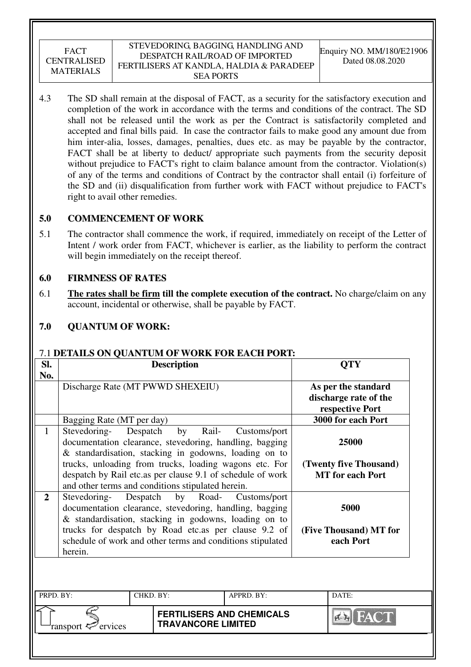#### STEVEDORING, BAGGING, HANDLING AND DESPATCH RAIL/ROAD OF IMPORTED FERTILISERS AT KANDLA, HALDIA & PARADEEP SEA PORTS

4.3 The SD shall remain at the disposal of FACT, as a security for the satisfactory execution and completion of the work in accordance with the terms and conditions of the contract. The SD shall not be released until the work as per the Contract is satisfactorily completed and accepted and final bills paid. In case the contractor fails to make good any amount due from him inter-alia, losses, damages, penalties, dues etc. as may be payable by the contractor, FACT shall be at liberty to deduct/ appropriate such payments from the security deposit without prejudice to FACT's right to claim balance amount from the contractor. Violation(s) of any of the terms and conditions of Contract by the contractor shall entail (i) forfeiture of the SD and (ii) disqualification from further work with FACT without prejudice to FACT's right to avail other remedies.

# **5.0 COMMENCEMENT OF WORK**

5.1 The contractor shall commence the work, if required, immediately on receipt of the Letter of Intent / work order from FACT, whichever is earlier, as the liability to perform the contract will begin immediately on the receipt thereof.

## **6.0 FIRMNESS OF RATES**

6.1 **The rates shall be firm till the complete execution of the contract.** No charge/claim on any account, incidental or otherwise, shall be payable by FACT.

# **7.0 QUANTUM OF WORK:**

## 7.1 **DETAILS ON QUANTUM OF WORK FOR EACH PORT:**

| SI.<br>No.                                                                                                                                                                                                                                                                                                                                                                 |                                  | <b>Description</b>                                                                                                                                                                                                                                                                                                       |              | <b>QTY</b>                                                 |  |  |
|----------------------------------------------------------------------------------------------------------------------------------------------------------------------------------------------------------------------------------------------------------------------------------------------------------------------------------------------------------------------------|----------------------------------|--------------------------------------------------------------------------------------------------------------------------------------------------------------------------------------------------------------------------------------------------------------------------------------------------------------------------|--------------|------------------------------------------------------------|--|--|
|                                                                                                                                                                                                                                                                                                                                                                            | Discharge Rate (MT PWWD SHEXEIU) | As per the standard<br>discharge rate of the<br>respective Port                                                                                                                                                                                                                                                          |              |                                                            |  |  |
|                                                                                                                                                                                                                                                                                                                                                                            | Bagging Rate (MT per day)        |                                                                                                                                                                                                                                                                                                                          |              | 3000 for each Port                                         |  |  |
| $\mathbf{1}$                                                                                                                                                                                                                                                                                                                                                               | Stevedoring-                     | Despatch<br>Rail-<br>by<br>documentation clearance, stevedoring, handling, bagging<br>& standardisation, stacking in godowns, loading on to<br>trucks, unloading from trucks, loading wagons etc. For<br>despatch by Rail etc.as per clause 9.1 of schedule of work<br>and other terms and conditions stipulated herein. | Customs/port | 25000<br>(Twenty five Thousand)<br><b>MT</b> for each Port |  |  |
| $\overline{2}$<br>Despatch<br>Stevedoring-<br>by Road-<br>Customs/port<br>documentation clearance, stevedoring, handling, bagging<br>5000<br>& standardisation, stacking in godowns, loading on to<br>trucks for despatch by Road etc.as per clause 9.2 of<br>(Five Thousand) MT for<br>each Port<br>schedule of work and other terms and conditions stipulated<br>herein. |                                  |                                                                                                                                                                                                                                                                                                                          |              |                                                            |  |  |
| PRPD. BY:                                                                                                                                                                                                                                                                                                                                                                  |                                  | CHKD. BY:                                                                                                                                                                                                                                                                                                                | APPRD. BY:   | DATE:                                                      |  |  |
|                                                                                                                                                                                                                                                                                                                                                                            |                                  |                                                                                                                                                                                                                                                                                                                          |              |                                                            |  |  |
| <b>FERTILISERS AND CHEMICALS</b><br><b>TRAVANCORE LIMITED</b><br>ervices<br>ransport                                                                                                                                                                                                                                                                                       |                                  |                                                                                                                                                                                                                                                                                                                          |              |                                                            |  |  |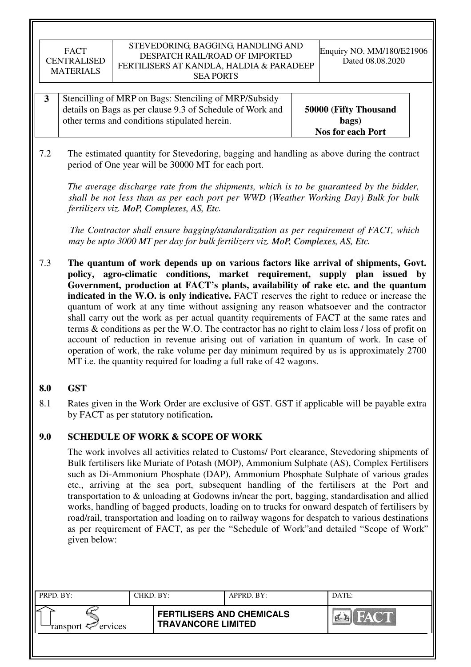| Stencilling of MRP on Bags: Stenciling of MRP/Subsidy     |                          |
|-----------------------------------------------------------|--------------------------|
| details on Bags as per clause 9.3 of Schedule of Work and | 50000 (Fifty Thousand    |
| other terms and conditions stipulated herein.             | bags)                    |
|                                                           | <b>Nos for each Port</b> |

7.2 The estimated quantity for Stevedoring, bagging and handling as above during the contract period of One year will be 30000 MT for each port.

*The average discharge rate from the shipments, which is to be guaranteed by the bidder, shall be not less than as per each port per WWD (Weather Working Day) Bulk for bulk fertilizers viz. MoP, Complexes, AS, Etc.*

 *The Contractor shall ensure bagging/standardization as per requirement of FACT, which may be upto 3000 MT per day for bulk fertilizers viz. MoP, Complexes, AS, Etc.*

7.3 **The quantum of work depends up on various factors like arrival of shipments, Govt. policy, agro-climatic conditions, market requirement, supply plan issued by Government, production at FACT's plants, availability of rake etc. and the quantum indicated in the W.O. is only indicative.** FACT reserves the right to reduce or increase the quantum of work at any time without assigning any reason whatsoever and the contractor shall carry out the work as per actual quantity requirements of FACT at the same rates and terms & conditions as per the W.O. The contractor has no right to claim loss / loss of profit on account of reduction in revenue arising out of variation in quantum of work. In case of operation of work, the rake volume per day minimum required by us is approximately 2700 MT i.e. the quantity required for loading a full rake of 42 wagons.

# **8.0 GST**

8.1 Rates given in the Work Order are exclusive of GST. GST if applicable will be payable extra by FACT as per statutory notification**.** 

# **9.0 SCHEDULE OF WORK & SCOPE OF WORK**

 The work involves all activities related to Customs/ Port clearance, Stevedoring shipments of Bulk fertilisers like Muriate of Potash (MOP), Ammonium Sulphate (AS), Complex Fertilisers such as Di-Ammonium Phosphate (DAP), Ammonium Phosphate Sulphate of various grades etc., arriving at the sea port, subsequent handling of the fertilisers at the Port and transportation to & unloading at Godowns in/near the port, bagging, standardisation and allied works, handling of bagged products, loading on to trucks for onward despatch of fertilisers by road/rail, transportation and loading on to railway wagons for despatch to various destinations as per requirement of FACT, as per the "Schedule of Work"and detailed "Scope of Work" given below:

| PRPD. BY:                     | CHKD. BY: |                                                               | APPRD. BY: | DATE:       |
|-------------------------------|-----------|---------------------------------------------------------------|------------|-------------|
| ransport <sup>2</sup> ervices |           | <b>FERTILISERS AND CHEMICALS</b><br><b>TRAVANCORE LIMITED</b> |            | <b>FACT</b> |
|                               |           |                                                               |            |             |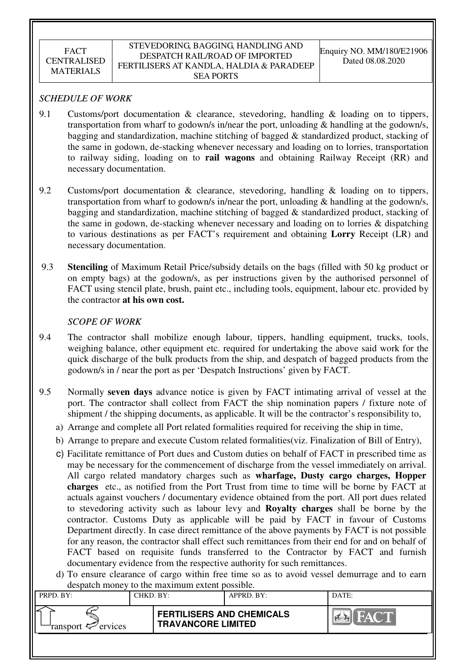## *SCHEDULE OF WORK*

- 9.1 Customs/port documentation & clearance, stevedoring, handling & loading on to tippers, transportation from wharf to godown/s in/near the port, unloading & handling at the godown/s, bagging and standardization, machine stitching of bagged & standardized product, stacking of the same in godown, de-stacking whenever necessary and loading on to lorries, transportation to railway siding, loading on to **rail wagons** and obtaining Railway Receipt (RR) and necessary documentation.
- 9.2 Customs/port documentation & clearance, stevedoring, handling & loading on to tippers, transportation from wharf to godown/s in/near the port, unloading & handling at the godown/s, bagging and standardization, machine stitching of bagged & standardized product, stacking of the same in godown, de-stacking whenever necessary and loading on to lorries & dispatching to various destinations as per FACT's requirement and obtaining **Lorry** Receipt (LR) and necessary documentation.
- 9.3 **Stenciling** of Maximum Retail Price/subsidy details on the bags (filled with 50 kg product or on empty bags) at the godown/s, as per instructions given by the authorised personnel of FACT using stencil plate, brush, paint etc., including tools, equipment, labour etc. provided by the contractor **at his own cost.**

## *SCOPE OF WORK*

- 9.4 The contractor shall mobilize enough labour, tippers, handling equipment, trucks, tools, weighing balance, other equipment etc. required for undertaking the above said work for the quick discharge of the bulk products from the ship, and despatch of bagged products from the godown/s in / near the port as per 'Despatch Instructions' given by FACT.
- 9.5 Normally **seven days** advance notice is given by FACT intimating arrival of vessel at the port. The contractor shall collect from FACT the ship nomination papers / fixture note of shipment / the shipping documents, as applicable. It will be the contractor's responsibility to,
	- a) Arrange and complete all Port related formalities required for receiving the ship in time,
	- b) Arrange to prepare and execute Custom related formalities(viz. Finalization of Bill of Entry),
	- c) Facilitate remittance of Port dues and Custom duties on behalf of FACT in prescribed time as may be necessary for the commencement of discharge from the vessel immediately on arrival. All cargo related mandatory charges such as **wharfage, Dusty cargo charges, Hopper charges** etc., as notified from the Port Trust from time to time will be borne by FACT at actuals against vouchers / documentary evidence obtained from the port. All port dues related to stevedoring activity such as labour levy and **Royalty charges** shall be borne by the contractor. Customs Duty as applicable will be paid by FACT in favour of Customs Department directly. In case direct remittance of the above payments by FACT is not possible for any reason, the contractor shall effect such remittances from their end for and on behalf of FACT based on requisite funds transferred to the Contractor by FACT and furnish documentary evidence from the respective authority for such remittances.
	- d) To ensure clearance of cargo within free time so as to avoid vessel demurrage and to earn despatch money to the maximum extent possible.

| $\alpha$<br>to the mainmann entent poppiole. |           |                                                               |            |       |  |  |
|----------------------------------------------|-----------|---------------------------------------------------------------|------------|-------|--|--|
| PRPD. BY:                                    | CHKD. BY: |                                                               | APPRD. BY: | DATE: |  |  |
| ransport <sup>2</sup> ervices                |           | <b>FERTILISERS AND CHEMICALS</b><br><b>TRAVANCORE LIMITED</b> |            | HAY   |  |  |
|                                              |           |                                                               |            |       |  |  |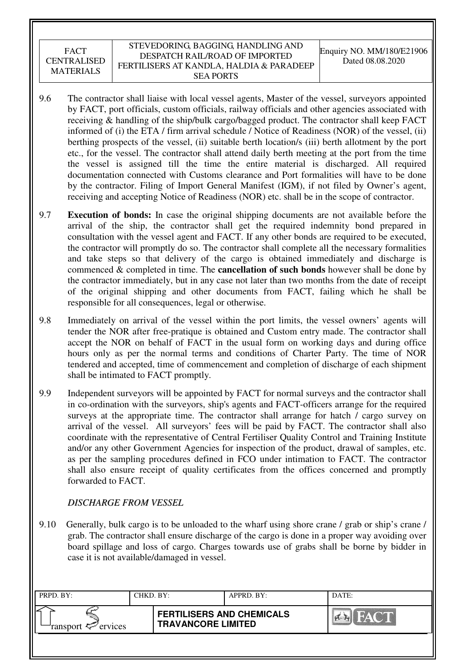#### STEVEDORING, BAGGING, HANDLING AND DESPATCH RAIL/ROAD OF IMPORTED FERTILISERS AT KANDLA, HALDIA & PARADEEP SEA PORTS

- 9.6 The contractor shall liaise with local vessel agents, Master of the vessel, surveyors appointed by FACT, port officials, custom officials, railway officials and other agencies associated with receiving & handling of the ship/bulk cargo/bagged product. The contractor shall keep FACT informed of (i) the ETA / firm arrival schedule / Notice of Readiness (NOR) of the vessel, (ii) berthing prospects of the vessel, (ii) suitable berth location/s (iii) berth allotment by the port etc., for the vessel. The contractor shall attend daily berth meeting at the port from the time the vessel is assigned till the time the entire material is discharged. All required documentation connected with Customs clearance and Port formalities will have to be done by the contractor. Filing of Import General Manifest (IGM), if not filed by Owner's agent, receiving and accepting Notice of Readiness (NOR) etc. shall be in the scope of contractor.
- 9.7 **Execution of bonds:** In case the original shipping documents are not available before the arrival of the ship, the contractor shall get the required indemnity bond prepared in consultation with the vessel agent and FACT. If any other bonds are required to be executed, the contractor will promptly do so. The contractor shall complete all the necessary formalities and take steps so that delivery of the cargo is obtained immediately and discharge is commenced & completed in time. The **cancellation of such bonds** however shall be done by the contractor immediately, but in any case not later than two months from the date of receipt of the original shipping and other documents from FACT, failing which he shall be responsible for all consequences, legal or otherwise.
- 9.8 Immediately on arrival of the vessel within the port limits, the vessel owners' agents will tender the NOR after free-pratique is obtained and Custom entry made. The contractor shall accept the NOR on behalf of FACT in the usual form on working days and during office hours only as per the normal terms and conditions of Charter Party. The time of NOR tendered and accepted, time of commencement and completion of discharge of each shipment shall be intimated to FACT promptly.
- 9.9 Independent surveyors will be appointed by FACT for normal surveys and the contractor shall in co-ordination with the surveyors, ship's agents and FACT-officers arrange for the required surveys at the appropriate time. The contractor shall arrange for hatch / cargo survey on arrival of the vessel. All surveyors' fees will be paid by FACT. The contractor shall also coordinate with the representative of Central Fertiliser Quality Control and Training Institute and/or any other Government Agencies for inspection of the product, drawal of samples, etc. as per the sampling procedures defined in FCO under intimation to FACT. The contractor shall also ensure receipt of quality certificates from the offices concerned and promptly forwarded to FACT.

# *DISCHARGE FROM VESSEL*

9.10 Generally, bulk cargo is to be unloaded to the wharf using shore crane / grab or ship's crane / grab. The contractor shall ensure discharge of the cargo is done in a proper way avoiding over board spillage and loss of cargo. Charges towards use of grabs shall be borne by bidder in case it is not available/damaged in vessel.

| PRPD. BY:                                | CHKD. BY: |                                                               | APPRD. BY: | DATE:             |
|------------------------------------------|-----------|---------------------------------------------------------------|------------|-------------------|
| ransport $\epsilon$ <sup>-</sup> ervices |           | <b>FERTILISERS AND CHEMICALS</b><br><b>TRAVANCORE LIMITED</b> |            | FACT.<br>$\alpha$ |
|                                          |           |                                                               |            |                   |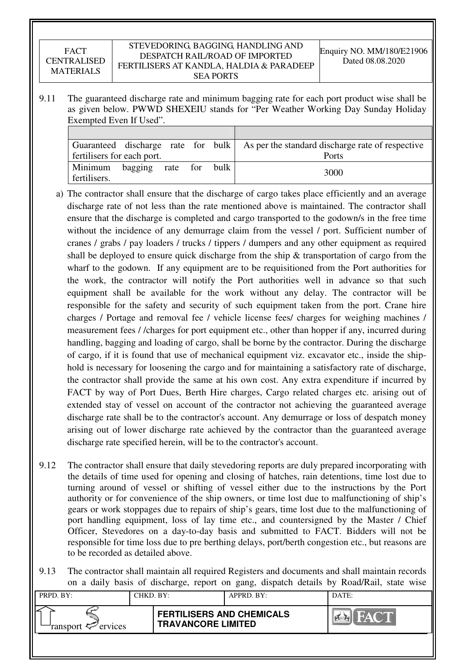#### STEVEDORING, BAGGING, HANDLING AND DESPATCH RAIL/ROAD OF IMPORTED FERTILISERS AT KANDLA, HALDIA & PARADEEP SEA PORTS

9.11 The guaranteed discharge rate and minimum bagging rate for each port product wise shall be as given below. PWWD SHEXEIU stands for "Per Weather Working Day Sunday Holiday Exempted Even If Used".

|                            |              |     |      | Guaranteed discharge rate for bulk As per the standard discharge rate of respective |
|----------------------------|--------------|-----|------|-------------------------------------------------------------------------------------|
| fertilisers for each port. |              |     |      | Ports                                                                               |
| Minimum<br>fertilisers.    | bagging rate | for | bulk | 3000                                                                                |

- a) The contractor shall ensure that the discharge of cargo takes place efficiently and an average discharge rate of not less than the rate mentioned above is maintained. The contractor shall ensure that the discharge is completed and cargo transported to the godown/s in the free time without the incidence of any demurrage claim from the vessel / port. Sufficient number of cranes / grabs / pay loaders / trucks / tippers / dumpers and any other equipment as required shall be deployed to ensure quick discharge from the ship  $\&$  transportation of cargo from the wharf to the godown. If any equipment are to be requisitioned from the Port authorities for the work, the contractor will notify the Port authorities well in advance so that such equipment shall be available for the work without any delay. The contractor will be responsible for the safety and security of such equipment taken from the port. Crane hire charges / Portage and removal fee / vehicle license fees/ charges for weighing machines / measurement fees / /charges for port equipment etc., other than hopper if any, incurred during handling, bagging and loading of cargo, shall be borne by the contractor. During the discharge of cargo, if it is found that use of mechanical equipment viz. excavator etc., inside the shiphold is necessary for loosening the cargo and for maintaining a satisfactory rate of discharge, the contractor shall provide the same at his own cost. Any extra expenditure if incurred by FACT by way of Port Dues, Berth Hire charges, Cargo related charges etc. arising out of extended stay of vessel on account of the contractor not achieving the guaranteed average discharge rate shall be to the contractor's account. Any demurrage or loss of despatch money arising out of lower discharge rate achieved by the contractor than the guaranteed average discharge rate specified herein, will be to the contractor's account.
- 9.12 The contractor shall ensure that daily stevedoring reports are duly prepared incorporating with the details of time used for opening and closing of hatches, rain detentions, time lost due to turning around of vessel or shifting of vessel either due to the instructions by the Port authority or for convenience of the ship owners, or time lost due to malfunctioning of ship's gears or work stoppages due to repairs of ship's gears, time lost due to the malfunctioning of port handling equipment, loss of lay time etc., and countersigned by the Master / Chief Officer, Stevedores on a day-to-day basis and submitted to FACT. Bidders will not be responsible for time loss due to pre berthing delays, port/berth congestion etc., but reasons are to be recorded as detailed above.
- 9.13 The contractor shall maintain all required Registers and documents and shall maintain records on a daily basis of discharge, report on gang, dispatch details by Road/Rail, state wise

| PRPD. BY:              | CHKD. BY: |                                                               | APPRD. BY: | DATE:                   |
|------------------------|-----------|---------------------------------------------------------------|------------|-------------------------|
| ransport $\ll$ ervices |           | <b>FERTILISERS AND CHEMICALS</b><br><b>TRAVANCORE LIMITED</b> |            | <b>FACT</b><br>$\alpha$ |
|                        |           |                                                               |            |                         |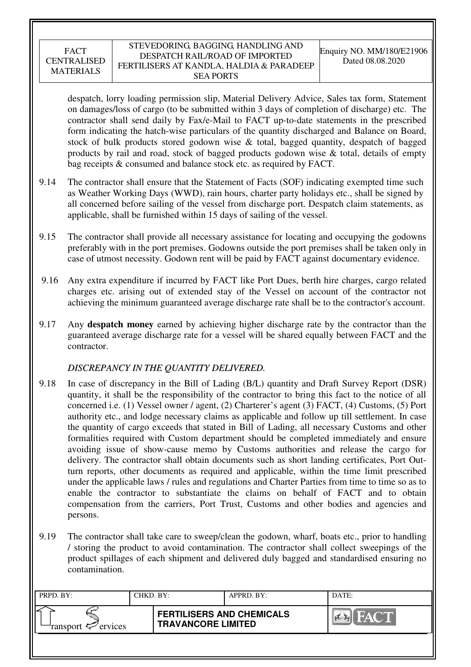#### STEVEDORING, BAGGING, HANDLING AND DESPATCH RAIL/ROAD OF IMPORTED FERTILISERS AT KANDLA, HALDIA & PARADEEP SEA PORTS

despatch, lorry loading permission slip, Material Delivery Advice, Sales tax form, Statement on damages/loss of cargo (to be submitted within 3 days of completion of discharge) etc. The contractor shall send daily by Fax/e-Mail to FACT up-to-date statements in the prescribed form indicating the hatch-wise particulars of the quantity discharged and Balance on Board, stock of bulk products stored godown wise & total, bagged quantity, despatch of bagged products by rail and road, stock of bagged products godown wise & total, details of empty bag receipts & consumed and balance stock etc. as required by FACT.

- 9.14 The contractor shall ensure that the Statement of Facts (SOF) indicating exempted time such as Weather Working Days (WWD), rain hours, charter party holidays etc., shall be signed by all concerned before sailing of the vessel from discharge port. Despatch claim statements, as applicable, shall be furnished within 15 days of sailing of the vessel.
- 9.15 The contractor shall provide all necessary assistance for locating and occupying the godowns preferably with in the port premises. Godowns outside the port premises shall be taken only in case of utmost necessity. Godown rent will be paid by FACT against documentary evidence.
- 9.16 Any extra expenditure if incurred by FACT like Port Dues, berth hire charges, cargo related charges etc. arising out of extended stay of the Vessel on account of the contractor not achieving the minimum guaranteed average discharge rate shall be to the contractor's account.
- 9.17 Any **despatch money** earned by achieving higher discharge rate by the contractor than the guaranteed average discharge rate for a vessel will be shared equally between FACT and the contractor.

# *DISCREPANCY IN THE QUANTITY DELIVERED.*

- 9.18 In case of discrepancy in the Bill of Lading (B/L) quantity and Draft Survey Report (DSR) quantity, it shall be the responsibility of the contractor to bring this fact to the notice of all concerned i.e. (1) Vessel owner / agent, (2) Charterer's agent (3) FACT, (4) Customs, (5) Port authority etc., and lodge necessary claims as applicable and follow up till settlement. In case the quantity of cargo exceeds that stated in Bill of Lading, all necessary Customs and other formalities required with Custom department should be completed immediately and ensure avoiding issue of show-cause memo by Customs authorities and release the cargo for delivery. The contractor shall obtain documents such as short landing certificates, Port Outturn reports, other documents as required and applicable, within the time limit prescribed under the applicable laws / rules and regulations and Charter Parties from time to time so as to enable the contractor to substantiate the claims on behalf of FACT and to obtain compensation from the carriers, Port Trust, Customs and other bodies and agencies and persons.
- 9.19 The contractor shall take care to sweep/clean the godown, wharf, boats etc., prior to handling / storing the product to avoid contamination. The contractor shall collect sweepings of the product spillages of each shipment and delivered duly bagged and standardised ensuring no contamination.

| PRPD. BY:                                | CHKD. BY: |                                                               | APPRD. BY: | DATE: |
|------------------------------------------|-----------|---------------------------------------------------------------|------------|-------|
| ransport $\epsilon$ <sup>-</sup> ervices |           | <b>FERTILISERS AND CHEMICALS</b><br><b>TRAVANCORE LIMITED</b> |            | FACT  |
|                                          |           |                                                               |            |       |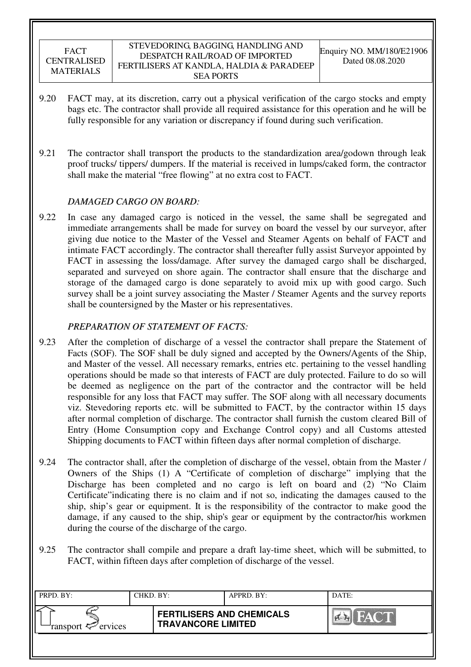- 9.20 FACT may, at its discretion, carry out a physical verification of the cargo stocks and empty bags etc. The contractor shall provide all required assistance for this operation and he will be fully responsible for any variation or discrepancy if found during such verification.
- 9.21 The contractor shall transport the products to the standardization area/godown through leak proof trucks/ tippers/ dumpers. If the material is received in lumps/caked form, the contractor shall make the material "free flowing" at no extra cost to FACT.

## *DAMAGED CARGO ON BOARD:*

9.22 In case any damaged cargo is noticed in the vessel, the same shall be segregated and immediate arrangements shall be made for survey on board the vessel by our surveyor, after giving due notice to the Master of the Vessel and Steamer Agents on behalf of FACT and intimate FACT accordingly. The contractor shall thereafter fully assist Surveyor appointed by FACT in assessing the loss/damage. After survey the damaged cargo shall be discharged, separated and surveyed on shore again. The contractor shall ensure that the discharge and storage of the damaged cargo is done separately to avoid mix up with good cargo. Such survey shall be a joint survey associating the Master / Steamer Agents and the survey reports shall be countersigned by the Master or his representatives.

# *PREPARATION OF STATEMENT OF FACTS:*

- 9.23 After the completion of discharge of a vessel the contractor shall prepare the Statement of Facts (SOF). The SOF shall be duly signed and accepted by the Owners/Agents of the Ship, and Master of the vessel. All necessary remarks, entries etc. pertaining to the vessel handling operations should be made so that interests of FACT are duly protected. Failure to do so will be deemed as negligence on the part of the contractor and the contractor will be held responsible for any loss that FACT may suffer. The SOF along with all necessary documents viz. Stevedoring reports etc. will be submitted to FACT, by the contractor within 15 days after normal completion of discharge. The contractor shall furnish the custom cleared Bill of Entry (Home Consumption copy and Exchange Control copy) and all Customs attested Shipping documents to FACT within fifteen days after normal completion of discharge.
- 9.24 The contractor shall, after the completion of discharge of the vessel, obtain from the Master / Owners of the Ships (1) A "Certificate of completion of discharge" implying that the Discharge has been completed and no cargo is left on board and (2) "No Claim Certificate"indicating there is no claim and if not so, indicating the damages caused to the ship, ship's gear or equipment. It is the responsibility of the contractor to make good the damage, if any caused to the ship, ship's gear or equipment by the contractor/his workmen during the course of the discharge of the cargo.
- 9.25 The contractor shall compile and prepare a draft lay-time sheet, which will be submitted, to FACT, within fifteen days after completion of discharge of the vessel.

| PRPD. BY:                      | CHKD. BY: |                                                               | APPRD. BY: | DATE:              |
|--------------------------------|-----------|---------------------------------------------------------------|------------|--------------------|
| ransport $\mathcal{P}$ ervices |           | <b>FERTILISERS AND CHEMICALS</b><br><b>TRAVANCORE LIMITED</b> |            | FACT<br><b>PER</b> |
|                                |           |                                                               |            |                    |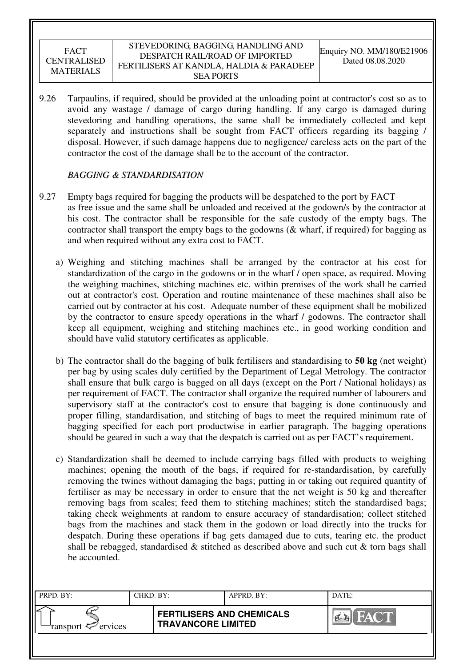#### STEVEDORING, BAGGING, HANDLING AND DESPATCH RAIL/ROAD OF IMPORTED FERTILISERS AT KANDLA, HALDIA & PARADEEP SEA PORTS

9.26 Tarpaulins, if required, should be provided at the unloading point at contractor's cost so as to avoid any wastage / damage of cargo during handling. If any cargo is damaged during stevedoring and handling operations, the same shall be immediately collected and kept separately and instructions shall be sought from FACT officers regarding its bagging / disposal. However, if such damage happens due to negligence/ careless acts on the part of the contractor the cost of the damage shall be to the account of the contractor.

## *BAGGING & STANDARDISATION*

- 9.27 Empty bags required for bagging the products will be despatched to the port by FACT as free issue and the same shall be unloaded and received at the godown/s by the contractor at his cost. The contractor shall be responsible for the safe custody of the empty bags. The contractor shall transport the empty bags to the godowns (& wharf, if required) for bagging as and when required without any extra cost to FACT.
	- a) Weighing and stitching machines shall be arranged by the contractor at his cost for standardization of the cargo in the godowns or in the wharf / open space, as required. Moving the weighing machines, stitching machines etc. within premises of the work shall be carried out at contractor's cost. Operation and routine maintenance of these machines shall also be carried out by contractor at his cost. Adequate number of these equipment shall be mobilized by the contractor to ensure speedy operations in the wharf / godowns. The contractor shall keep all equipment, weighing and stitching machines etc., in good working condition and should have valid statutory certificates as applicable.
	- b) The contractor shall do the bagging of bulk fertilisers and standardising to **50 kg** (net weight) per bag by using scales duly certified by the Department of Legal Metrology. The contractor shall ensure that bulk cargo is bagged on all days (except on the Port / National holidays) as per requirement of FACT. The contractor shall organize the required number of labourers and supervisory staff at the contractor's cost to ensure that bagging is done continuously and proper filling, standardisation, and stitching of bags to meet the required minimum rate of bagging specified for each port productwise in earlier paragraph. The bagging operations should be geared in such a way that the despatch is carried out as per FACT's requirement.
	- c) Standardization shall be deemed to include carrying bags filled with products to weighing machines; opening the mouth of the bags, if required for re-standardisation, by carefully removing the twines without damaging the bags; putting in or taking out required quantity of fertiliser as may be necessary in order to ensure that the net weight is 50 kg and thereafter removing bags from scales; feed them to stitching machines; stitch the standardised bags; taking check weighments at random to ensure accuracy of standardisation; collect stitched bags from the machines and stack them in the godown or load directly into the trucks for despatch. During these operations if bag gets damaged due to cuts, tearing etc. the product shall be rebagged, standardised  $\&$  stitched as described above and such cut  $\&$  torn bags shall be accounted.

| PRPD. BY:                     | CHKD. BY: |                                                               | APPRD. BY: | DATE:                       |
|-------------------------------|-----------|---------------------------------------------------------------|------------|-----------------------------|
| ransport <sup>2</sup> ervices |           | <b>FERTILISERS AND CHEMICALS</b><br><b>TRAVANCORE LIMITED</b> |            | <b>THE TANK OF BUILDING</b> |
|                               |           |                                                               |            |                             |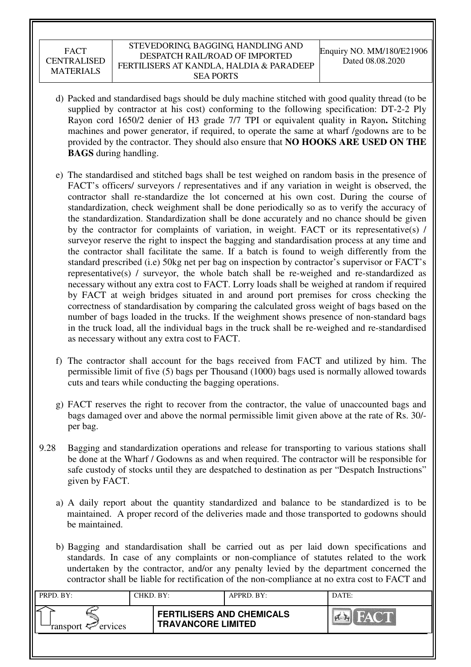#### STEVEDORING, BAGGING, HANDLING AND DESPATCH RAIL/ROAD OF IMPORTED FERTILISERS AT KANDLA, HALDIA & PARADEEP SEA PORTS

- d) Packed and standardised bags should be duly machine stitched with good quality thread (to be supplied by contractor at his cost) conforming to the following specification: DT-2-2 Ply Rayon cord 1650/2 denier of H3 grade 7/7 TPI or equivalent quality in Rayon**.** Stitching machines and power generator, if required, to operate the same at wharf /godowns are to be provided by the contractor. They should also ensure that **NO HOOKS ARE USED ON THE BAGS** during handling.
- e) The standardised and stitched bags shall be test weighed on random basis in the presence of FACT's officers/ surveyors / representatives and if any variation in weight is observed, the contractor shall re-standardize the lot concerned at his own cost. During the course of standardization, check weighment shall be done periodically so as to verify the accuracy of the standardization. Standardization shall be done accurately and no chance should be given by the contractor for complaints of variation, in weight. FACT or its representative(s) / surveyor reserve the right to inspect the bagging and standardisation process at any time and the contractor shall facilitate the same. If a batch is found to weigh differently from the standard prescribed (i.e) 50kg net per bag on inspection by contractor's supervisor or FACT's representative(s) / surveyor, the whole batch shall be re-weighed and re-standardized as necessary without any extra cost to FACT. Lorry loads shall be weighed at random if required by FACT at weigh bridges situated in and around port premises for cross checking the correctness of standardisation by comparing the calculated gross weight of bags based on the number of bags loaded in the trucks. If the weighment shows presence of non-standard bags in the truck load, all the individual bags in the truck shall be re-weighed and re-standardised as necessary without any extra cost to FACT.
- f) The contractor shall account for the bags received from FACT and utilized by him. The permissible limit of five (5) bags per Thousand (1000) bags used is normally allowed towards cuts and tears while conducting the bagging operations.
- g) FACT reserves the right to recover from the contractor, the value of unaccounted bags and bags damaged over and above the normal permissible limit given above at the rate of Rs. 30/ per bag.
- 9.28 Bagging and standardization operations and release for transporting to various stations shall be done at the Wharf / Godowns as and when required. The contractor will be responsible for safe custody of stocks until they are despatched to destination as per "Despatch Instructions" given by FACT.
	- a) A daily report about the quantity standardized and balance to be standardized is to be maintained. A proper record of the deliveries made and those transported to godowns should be maintained.
	- b) Bagging and standardisation shall be carried out as per laid down specifications and standards. In case of any complaints or non-compliance of statutes related to the work undertaken by the contractor, and/or any penalty levied by the department concerned the contractor shall be liable for rectification of the non-compliance at no extra cost to FACT and

| PRPD. BY:                 | CHKD. BY: |                                                               | APPRD. BY: | DATE:                     |
|---------------------------|-----------|---------------------------------------------------------------|------------|---------------------------|
| ransport $\sharp$ ervices |           | <b>FERTILISERS AND CHEMICALS</b><br><b>TRAVANCORE LIMITED</b> |            | HA C'IN<br>$\sum_{i=1}^n$ |
|                           |           |                                                               |            |                           |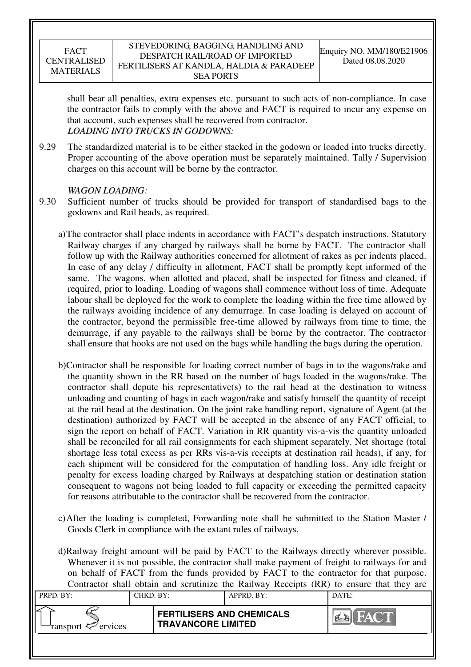#### STEVEDORING, BAGGING, HANDLING AND DESPATCH RAIL/ROAD OF IMPORTED FERTILISERS AT KANDLA, HALDIA & PARADEEP SEA PORTS

shall bear all penalties, extra expenses etc. pursuant to such acts of non-compliance. In case the contractor fails to comply with the above and FACT is required to incur any expense on that account, such expenses shall be recovered from contractor. *LOADING INTO TRUCKS IN GODOWNS:* 

9.29 The standardized material is to be either stacked in the godown or loaded into trucks directly. Proper accounting of the above operation must be separately maintained. Tally / Supervision charges on this account will be borne by the contractor.

# *WAGON LOADING:*

- 9.30 Sufficient number of trucks should be provided for transport of standardised bags to the godowns and Rail heads, as required.
	- a)The contractor shall place indents in accordance with FACT's despatch instructions. Statutory Railway charges if any charged by railways shall be borne by FACT. The contractor shall follow up with the Railway authorities concerned for allotment of rakes as per indents placed. In case of any delay / difficulty in allotment, FACT shall be promptly kept informed of the same. The wagons, when allotted and placed, shall be inspected for fitness and cleaned, if required, prior to loading. Loading of wagons shall commence without loss of time. Adequate labour shall be deployed for the work to complete the loading within the free time allowed by the railways avoiding incidence of any demurrage. In case loading is delayed on account of the contractor, beyond the permissible free-time allowed by railways from time to time, the demurrage, if any payable to the railways shall be borne by the contractor. The contractor shall ensure that hooks are not used on the bags while handling the bags during the operation.
	- b)Contractor shall be responsible for loading correct number of bags in to the wagons/rake and the quantity shown in the RR based on the number of bags loaded in the wagons/rake. The contractor shall depute his representative(s) to the rail head at the destination to witness unloading and counting of bags in each wagon/rake and satisfy himself the quantity of receipt at the rail head at the destination. On the joint rake handling report, signature of Agent (at the destination) authorized by FACT will be accepted in the absence of any FACT official, to sign the report on behalf of FACT. Variation in RR quantity vis-a-vis the quantity unloaded shall be reconciled for all rail consignments for each shipment separately. Net shortage (total shortage less total excess as per RRs vis-a-vis receipts at destination rail heads), if any, for each shipment will be considered for the computation of handling loss. Any idle freight or penalty for excess loading charged by Railways at despatching station or destination station consequent to wagons not being loaded to full capacity or exceeding the permitted capacity for reasons attributable to the contractor shall be recovered from the contractor.
	- c)After the loading is completed, Forwarding note shall be submitted to the Station Master / Goods Clerk in compliance with the extant rules of railways.

d)Railway freight amount will be paid by FACT to the Railways directly wherever possible. Whenever it is not possible, the contractor shall make payment of freight to railways for and on behalf of FACT from the funds provided by FACT to the contractor for that purpose. Contractor shall obtain and scrutinize the Railway Receipts (RR) to ensure that they are

| PRPD. BY:              | CHKD. BY: |                                                               | APPRD. BY: | DATE: |
|------------------------|-----------|---------------------------------------------------------------|------------|-------|
| ransport $\ll$ ervices |           | <b>FERTILISERS AND CHEMICALS</b><br><b>TRAVANCORE LIMITED</b> |            | EVA.  |
|                        |           |                                                               |            |       |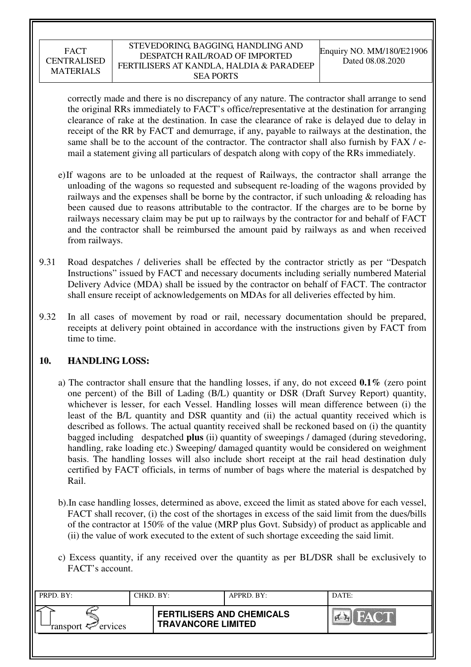#### STEVEDORING, BAGGING, HANDLING AND DESPATCH RAIL/ROAD OF IMPORTED FERTILISERS AT KANDLA, HALDIA & PARADEEP SEA PORTS

correctly made and there is no discrepancy of any nature. The contractor shall arrange to send the original RRs immediately to FACT's office/representative at the destination for arranging clearance of rake at the destination. In case the clearance of rake is delayed due to delay in receipt of the RR by FACT and demurrage, if any, payable to railways at the destination, the same shall be to the account of the contractor. The contractor shall also furnish by FAX / email a statement giving all particulars of despatch along with copy of the RRs immediately.

- e)If wagons are to be unloaded at the request of Railways, the contractor shall arrange the unloading of the wagons so requested and subsequent re-loading of the wagons provided by railways and the expenses shall be borne by the contractor, if such unloading  $\&$  reloading has been caused due to reasons attributable to the contractor. If the charges are to be borne by railways necessary claim may be put up to railways by the contractor for and behalf of FACT and the contractor shall be reimbursed the amount paid by railways as and when received from railways.
- 9.31 Road despatches / deliveries shall be effected by the contractor strictly as per "Despatch Instructions" issued by FACT and necessary documents including serially numbered Material Delivery Advice (MDA) shall be issued by the contractor on behalf of FACT. The contractor shall ensure receipt of acknowledgements on MDAs for all deliveries effected by him.
- 9.32 In all cases of movement by road or rail, necessary documentation should be prepared, receipts at delivery point obtained in accordance with the instructions given by FACT from time to time.

# **10. HANDLING LOSS:**

- a) The contractor shall ensure that the handling losses, if any, do not exceed **0.1%** (zero point one percent) of the Bill of Lading (B/L) quantity or DSR (Draft Survey Report) quantity, whichever is lesser, for each Vessel. Handling losses will mean difference between (i) the least of the B/L quantity and DSR quantity and (ii) the actual quantity received which is described as follows. The actual quantity received shall be reckoned based on (i) the quantity bagged including despatched **plus** (ii) quantity of sweepings / damaged (during stevedoring, handling, rake loading etc.) Sweeping/ damaged quantity would be considered on weighment basis. The handling losses will also include short receipt at the rail head destination duly certified by FACT officials, in terms of number of bags where the material is despatched by Rail.
- b).In case handling losses, determined as above, exceed the limit as stated above for each vessel, FACT shall recover, (i) the cost of the shortages in excess of the said limit from the dues/bills of the contractor at 150% of the value (MRP plus Govt. Subsidy) of product as applicable and (ii) the value of work executed to the extent of such shortage exceeding the said limit.
- c) Excess quantity, if any received over the quantity as per BL/DSR shall be exclusively to FACT's account.

| PRPD. BY:                                | CHKD. BY: |                                                               | APPRD. BY: | DATE: |
|------------------------------------------|-----------|---------------------------------------------------------------|------------|-------|
| ransport $\epsilon$ <sup>-</sup> ervices |           | <b>FERTILISERS AND CHEMICALS</b><br><b>TRAVANCORE LIMITED</b> |            | FACT  |
|                                          |           |                                                               |            |       |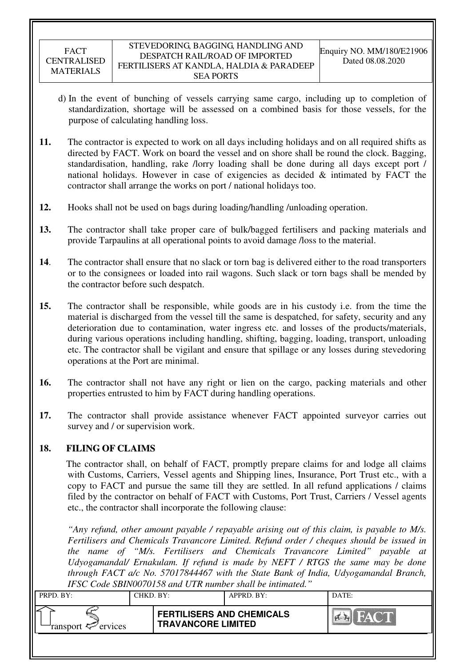- d) In the event of bunching of vessels carrying same cargo, including up to completion of standardization, shortage will be assessed on a combined basis for those vessels, for the purpose of calculating handling loss.
- **11.** The contractor is expected to work on all days including holidays and on all required shifts as directed by FACT. Work on board the vessel and on shore shall be round the clock. Bagging, standardisation, handling, rake /lorry loading shall be done during all days except port / national holidays. However in case of exigencies as decided & intimated by FACT the contractor shall arrange the works on port / national holidays too.
- **12.** Hooks shall not be used on bags during loading/handling /unloading operation.
- **13.** The contractor shall take proper care of bulk/bagged fertilisers and packing materials and provide Tarpaulins at all operational points to avoid damage /loss to the material.
- **14**. The contractor shall ensure that no slack or torn bag is delivered either to the road transporters or to the consignees or loaded into rail wagons. Such slack or torn bags shall be mended by the contractor before such despatch.
- **15.** The contractor shall be responsible, while goods are in his custody i.e. from the time the material is discharged from the vessel till the same is despatched, for safety, security and any deterioration due to contamination, water ingress etc. and losses of the products/materials, during various operations including handling, shifting, bagging, loading, transport, unloading etc. The contractor shall be vigilant and ensure that spillage or any losses during stevedoring operations at the Port are minimal.
- **16.** The contractor shall not have any right or lien on the cargo, packing materials and other properties entrusted to him by FACT during handling operations.
- **17.** The contractor shall provide assistance whenever FACT appointed surveyor carries out survey and / or supervision work.

# **18. FILING OF CLAIMS**

The contractor shall, on behalf of FACT, promptly prepare claims for and lodge all claims with Customs, Carriers, Vessel agents and Shipping lines, Insurance, Port Trust etc., with a copy to FACT and pursue the same till they are settled. In all refund applications / claims filed by the contractor on behalf of FACT with Customs, Port Trust, Carriers / Vessel agents etc., the contractor shall incorporate the following clause:

*"Any refund, other amount payable / repayable arising out of this claim, is payable to M/s. Fertilisers and Chemicals Travancore Limited. Refund order / cheques should be issued in the name of "M/s. Fertilisers and Chemicals Travancore Limited" payable at Udyogamandal/ Ernakulam. If refund is made by NEFT / RTGS the same may be done through FACT a/c No. 57017844467 with the State Bank of India, Udyogamandal Branch, IFSC Code SBIN0070158 and UTR number shall be intimated."* 

|                                          | 11 DC Couc DD11 1997 9139 and 0.110 name of share be municum. |            |       |
|------------------------------------------|---------------------------------------------------------------|------------|-------|
| PRPD. BY:                                | CHKD. BY:                                                     | APPRD. BY: | DATE: |
| ransport $\epsilon$ <sup>-</sup> ervices | <b>FERTILISERS AND CHEMICALS</b><br><b>TRAVANCORE LIMITED</b> |            | FACT  |
|                                          |                                                               |            |       |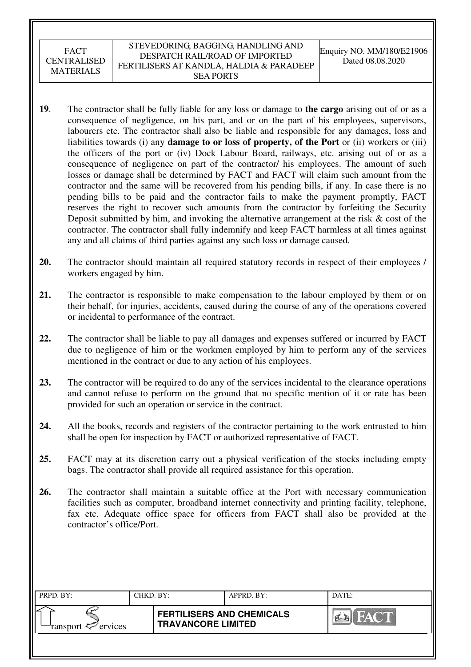- **19**. The contractor shall be fully liable for any loss or damage to **the cargo** arising out of or as a consequence of negligence, on his part, and or on the part of his employees, supervisors, labourers etc. The contractor shall also be liable and responsible for any damages, loss and liabilities towards (i) any **damage to or loss of property, of the Port** or (ii) workers or (iii) the officers of the port or (iv) Dock Labour Board, railways, etc. arising out of or as a consequence of negligence on part of the contractor/ his employees. The amount of such losses or damage shall be determined by FACT and FACT will claim such amount from the contractor and the same will be recovered from his pending bills, if any. In case there is no pending bills to be paid and the contractor fails to make the payment promptly, FACT reserves the right to recover such amounts from the contractor by forfeiting the Security Deposit submitted by him, and invoking the alternative arrangement at the risk  $\&$  cost of the contractor. The contractor shall fully indemnify and keep FACT harmless at all times against any and all claims of third parties against any such loss or damage caused.
- **20.** The contractor should maintain all required statutory records in respect of their employees / workers engaged by him.
- **21.** The contractor is responsible to make compensation to the labour employed by them or on their behalf, for injuries, accidents, caused during the course of any of the operations covered or incidental to performance of the contract.
- **22.** The contractor shall be liable to pay all damages and expenses suffered or incurred by FACT due to negligence of him or the workmen employed by him to perform any of the services mentioned in the contract or due to any action of his employees.
- **23.** The contractor will be required to do any of the services incidental to the clearance operations and cannot refuse to perform on the ground that no specific mention of it or rate has been provided for such an operation or service in the contract.
- **24.** All the books, records and registers of the contractor pertaining to the work entrusted to him shall be open for inspection by FACT or authorized representative of FACT.
- **25.** FACT may at its discretion carry out a physical verification of the stocks including empty bags. The contractor shall provide all required assistance for this operation.
- **26.** The contractor shall maintain a suitable office at the Port with necessary communication facilities such as computer, broadband internet connectivity and printing facility, telephone, fax etc. Adequate office space for officers from FACT shall also be provided at the contractor's office/Port.

| PRPD. BY:                     | CHKD. BY: |                                                               | APPRD. BY: | DATE:        |
|-------------------------------|-----------|---------------------------------------------------------------|------------|--------------|
| ransport <sup>2</sup> ervices |           | <b>FERTILISERS AND CHEMICALS</b><br><b>TRAVANCORE LIMITED</b> |            | <b>FACTI</b> |
|                               |           |                                                               |            |              |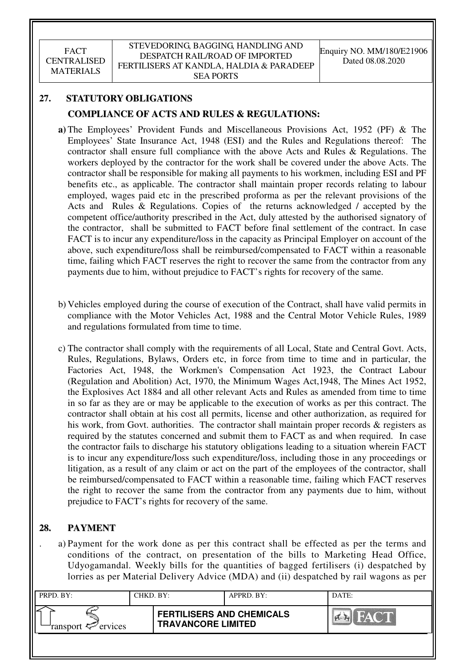# **27. STATUTORY OBLIGATIONS COMPLIANCE OF ACTS AND RULES & REGULATIONS:**

- **a)** The Employees' Provident Funds and Miscellaneous Provisions Act, 1952 (PF) & The Employees' State Insurance Act, 1948 (ESI) and the Rules and Regulations thereof: The contractor shall ensure full compliance with the above Acts and Rules & Regulations. The workers deployed by the contractor for the work shall be covered under the above Acts. The contractor shall be responsible for making all payments to his workmen, including ESI and PF benefits etc., as applicable. The contractor shall maintain proper records relating to labour employed, wages paid etc in the prescribed proforma as per the relevant provisions of the Acts and Rules & Regulations. Copies of the returns acknowledged / accepted by the competent office/authority prescribed in the Act, duly attested by the authorised signatory of the contractor, shall be submitted to FACT before final settlement of the contract. In case FACT is to incur any expenditure/loss in the capacity as Principal Employer on account of the above, such expenditure/loss shall be reimbursed/compensated to FACT within a reasonable time, failing which FACT reserves the right to recover the same from the contractor from any payments due to him, without prejudice to FACT's rights for recovery of the same.
- b) Vehicles employed during the course of execution of the Contract, shall have valid permits in compliance with the Motor Vehicles Act, 1988 and the Central Motor Vehicle Rules, 1989 and regulations formulated from time to time.
- c) The contractor shall comply with the requirements of all Local, State and Central Govt. Acts, Rules, Regulations, Bylaws, Orders etc, in force from time to time and in particular, the Factories Act, 1948, the Workmen's Compensation Act 1923, the Contract Labour (Regulation and Abolition) Act, 1970, the Minimum Wages Act,1948, The Mines Act 1952, the Explosives Act 1884 and all other relevant Acts and Rules as amended from time to time in so far as they are or may be applicable to the execution of works as per this contract. The contractor shall obtain at his cost all permits, license and other authorization, as required for his work, from Govt. authorities. The contractor shall maintain proper records & registers as required by the statutes concerned and submit them to FACT as and when required. In case the contractor fails to discharge his statutory obligations leading to a situation wherein FACT is to incur any expenditure/loss such expenditure/loss, including those in any proceedings or litigation, as a result of any claim or act on the part of the employees of the contractor, shall be reimbursed/compensated to FACT within a reasonable time, failing which FACT reserves the right to recover the same from the contractor from any payments due to him, without prejudice to FACT's rights for recovery of the same.

# **28. PAYMENT**

. a) Payment for the work done as per this contract shall be effected as per the terms and conditions of the contract, on presentation of the bills to Marketing Head Office, Udyogamandal. Weekly bills for the quantities of bagged fertilisers (i) despatched by lorries as per Material Delivery Advice (MDA) and (ii) despatched by rail wagons as per

| PRPD. BY:              | CHKD. BY: |                                                               | APPRD. BY: | DATE: |
|------------------------|-----------|---------------------------------------------------------------|------------|-------|
| ransport $\ll$ ervices |           | <b>FERTILISERS AND CHEMICALS</b><br><b>TRAVANCORE LIMITED</b> |            | HACTE |
|                        |           |                                                               |            |       |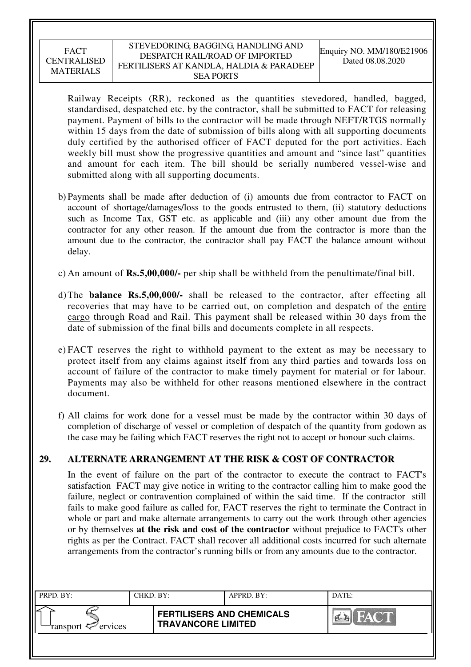#### STEVEDORING, BAGGING, HANDLING AND DESPATCH RAIL/ROAD OF IMPORTED FERTILISERS AT KANDLA, HALDIA & PARADEEP SEA PORTS

Railway Receipts (RR), reckoned as the quantities stevedored, handled, bagged, standardised, despatched etc. by the contractor, shall be submitted to FACT for releasing payment. Payment of bills to the contractor will be made through NEFT/RTGS normally within 15 days from the date of submission of bills along with all supporting documents duly certified by the authorised officer of FACT deputed for the port activities. Each weekly bill must show the progressive quantities and amount and "since last" quantities and amount for each item. The bill should be serially numbered vessel-wise and submitted along with all supporting documents.

- b) Payments shall be made after deduction of (i) amounts due from contractor to FACT on account of shortage/damages/loss to the goods entrusted to them, (ii) statutory deductions such as Income Tax, GST etc. as applicable and (iii) any other amount due from the contractor for any other reason. If the amount due from the contractor is more than the amount due to the contractor, the contractor shall pay FACT the balance amount without delay.
- c) An amount of **Rs.5,00,000/-** per ship shall be withheld from the penultimate/final bill.
- d) The **balance Rs.5,00,000/-** shall be released to the contractor, after effecting all recoveries that may have to be carried out, on completion and despatch of the entire cargo through Road and Rail. This payment shall be released within 30 days from the date of submission of the final bills and documents complete in all respects.
- e) FACT reserves the right to withhold payment to the extent as may be necessary to protect itself from any claims against itself from any third parties and towards loss on account of failure of the contractor to make timely payment for material or for labour. Payments may also be withheld for other reasons mentioned elsewhere in the contract document.
- f) All claims for work done for a vessel must be made by the contractor within 30 days of completion of discharge of vessel or completion of despatch of the quantity from godown as the case may be failing which FACT reserves the right not to accept or honour such claims.

# **29. ALTERNATE ARRANGEMENT AT THE RISK & COST OF CONTRACTOR**

In the event of failure on the part of the contractor to execute the contract to FACT's satisfaction FACT may give notice in writing to the contractor calling him to make good the failure, neglect or contravention complained of within the said time. If the contractor still fails to make good failure as called for, FACT reserves the right to terminate the Contract in whole or part and make alternate arrangements to carry out the work through other agencies or by themselves **at the risk and cost of the contractor** without prejudice to FACT's other rights as per the Contract. FACT shall recover all additional costs incurred for such alternate arrangements from the contractor's running bills or from any amounts due to the contractor.

| PRPD. BY:                  | CHKD. BY: |                                                               | APPRD. BY: | DATE: |
|----------------------------|-----------|---------------------------------------------------------------|------------|-------|
| ransport $\approx$ ervices |           | <b>FERTILISERS AND CHEMICALS</b><br><b>TRAVANCORE LIMITED</b> |            | FACT. |
|                            |           |                                                               |            |       |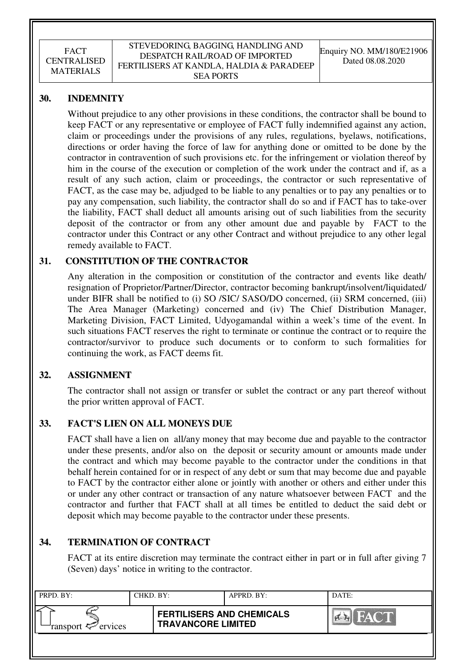# **30. INDEMNITY**

Without prejudice to any other provisions in these conditions, the contractor shall be bound to keep FACT or any representative or employee of FACT fully indemnified against any action, claim or proceedings under the provisions of any rules, regulations, byelaws, notifications, directions or order having the force of law for anything done or omitted to be done by the contractor in contravention of such provisions etc. for the infringement or violation thereof by him in the course of the execution or completion of the work under the contract and if, as a result of any such action, claim or proceedings, the contractor or such representative of FACT, as the case may be, adjudged to be liable to any penalties or to pay any penalties or to pay any compensation, such liability, the contractor shall do so and if FACT has to take-over the liability, FACT shall deduct all amounts arising out of such liabilities from the security deposit of the contractor or from any other amount due and payable by FACT to the contractor under this Contract or any other Contract and without prejudice to any other legal remedy available to FACT.

## **31. CONSTITUTION OF THE CONTRACTOR**

Any alteration in the composition or constitution of the contractor and events like death/ resignation of Proprietor/Partner/Director, contractor becoming bankrupt/insolvent/liquidated/ under BIFR shall be notified to (i) SO /SIC/ SASO/DO concerned, (ii) SRM concerned, (iii) The Area Manager (Marketing) concerned and (iv) The Chief Distribution Manager, Marketing Division, FACT Limited, Udyogamandal within a week's time of the event. In such situations FACT reserves the right to terminate or continue the contract or to require the contractor/survivor to produce such documents or to conform to such formalities for continuing the work, as FACT deems fit.

## **32. ASSIGNMENT**

The contractor shall not assign or transfer or sublet the contract or any part thereof without the prior written approval of FACT.

## **33. FACT'S LIEN ON ALL MONEYS DUE**

FACT shall have a lien on all/any money that may become due and payable to the contractor under these presents, and/or also on the deposit or security amount or amounts made under the contract and which may become payable to the contractor under the conditions in that behalf herein contained for or in respect of any debt or sum that may become due and payable to FACT by the contractor either alone or jointly with another or others and either under this or under any other contract or transaction of any nature whatsoever between FACT and the contractor and further that FACT shall at all times be entitled to deduct the said debt or deposit which may become payable to the contractor under these presents.

# **34. TERMINATION OF CONTRACT**

FACT at its entire discretion may terminate the contract either in part or in full after giving 7 (Seven) days' notice in writing to the contractor.

| PRPD. BY:              | CHKD. BY: |                                                               | APPRD. BY: | DATE:                 |
|------------------------|-----------|---------------------------------------------------------------|------------|-----------------------|
| ransport $\ll$ ervices |           | <b>FERTILISERS AND CHEMICALS</b><br><b>TRAVANCORE LIMITED</b> |            | <b>FACT</b><br>I PIER |
|                        |           |                                                               |            |                       |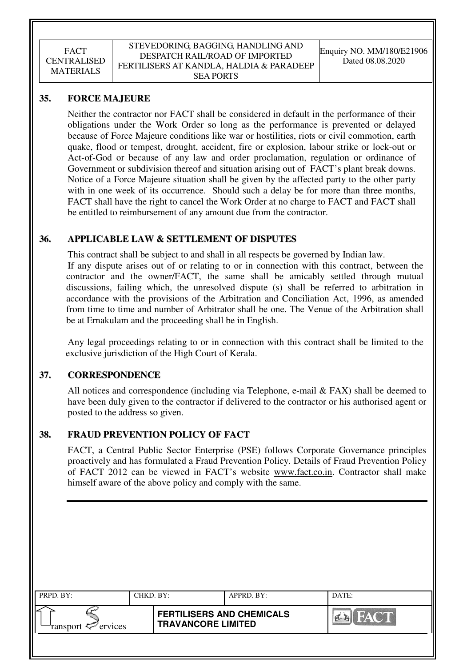#### STEVEDORING, BAGGING, HANDLING AND DESPATCH RAIL/ROAD OF IMPORTED FERTILISERS AT KANDLA, HALDIA & PARADEEP SEA PORTS

## **35. FORCE MAJEURE**

Neither the contractor nor FACT shall be considered in default in the performance of their obligations under the Work Order so long as the performance is prevented or delayed because of Force Majeure conditions like war or hostilities, riots or civil commotion, earth quake, flood or tempest, drought, accident, fire or explosion, labour strike or lock-out or Act-of-God or because of any law and order proclamation, regulation or ordinance of Government or subdivision thereof and situation arising out of FACT's plant break downs. Notice of a Force Majeure situation shall be given by the affected party to the other party with in one week of its occurrence. Should such a delay be for more than three months, FACT shall have the right to cancel the Work Order at no charge to FACT and FACT shall be entitled to reimbursement of any amount due from the contractor.

# **36. APPLICABLE LAW & SETTLEMENT OF DISPUTES**

This contract shall be subject to and shall in all respects be governed by Indian law. If any dispute arises out of or relating to or in connection with this contract, between the contractor and the owner/FACT, the same shall be amicably settled through mutual discussions, failing which, the unresolved dispute (s) shall be referred to arbitration in accordance with the provisions of the Arbitration and Conciliation Act, 1996, as amended from time to time and number of Arbitrator shall be one. The Venue of the Arbitration shall be at Ernakulam and the proceeding shall be in English.

 Any legal proceedings relating to or in connection with this contract shall be limited to the exclusive jurisdiction of the High Court of Kerala.

## **37. CORRESPONDENCE**

All notices and correspondence (including via Telephone, e-mail  $& FAST$ ) shall be deemed to have been duly given to the contractor if delivered to the contractor or his authorised agent or posted to the address so given.

## **38. FRAUD PREVENTION POLICY OF FACT**

FACT, a Central Public Sector Enterprise (PSE) follows Corporate Governance principles proactively and has formulated a Fraud Prevention Policy. Details of Fraud Prevention Policy of FACT 2012 can be viewed in FACT's website www.fact.co.in. Contractor shall make himself aware of the above policy and comply with the same.

| PRPD. BY:                                | CHKD. BY: |                                                               | APPRD. BY: | DATE:          |
|------------------------------------------|-----------|---------------------------------------------------------------|------------|----------------|
| ransport $\epsilon$ <sup>-</sup> ervices |           | <b>FERTILISERS AND CHEMICALS</b><br><b>TRAVANCORE LIMITED</b> |            | <b>Ex</b> FACT |
|                                          |           |                                                               |            |                |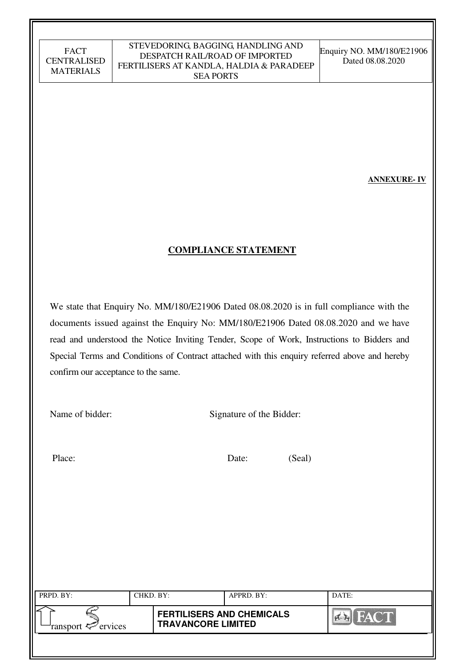#### STEVEDORING, BAGGING, HANDLING AND DESPATCH RAIL/ROAD OF IMPORTED FERTILISERS AT KANDLA, HALDIA & PARADEEP SEA PORTS

Enquiry NO. MM/180/E21906 Dated 08.08.2020

**ANNEXURE- IV** 

# **COMPLIANCE STATEMENT**

We state that Enquiry No. MM/180/E21906 Dated 08.08.2020 is in full compliance with the documents issued against the Enquiry No: MM/180/E21906 Dated 08.08.2020 and we have read and understood the Notice Inviting Tender, Scope of Work, Instructions to Bidders and Special Terms and Conditions of Contract attached with this enquiry referred above and hereby confirm our acceptance to the same.

Name of bidder: Signature of the Bidder:

Place: Date: (Seal)

| PRPD. BY:              | CHKD. BY: |                                                               | APPRD. BY: | DATE:                     |
|------------------------|-----------|---------------------------------------------------------------|------------|---------------------------|
|                        |           |                                                               |            |                           |
| ransport $\ll$ ervices |           | <b>FERTILISERS AND CHEMICALS</b><br><b>TRAVANCORE LIMITED</b> |            | <b>FACT</b><br><b>PER</b> |
|                        |           |                                                               |            |                           |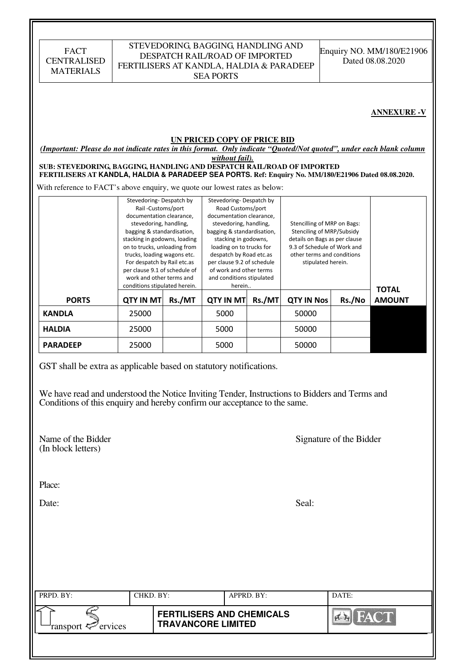| <b>FACT</b><br><b>CENTRALISED</b><br><b>MATERIALS</b>                                                                                                                                                                                                                                                                                                                                | FERTILISERS AT KANDLA, HALDIA & PARADEEP                                                                                                                                                                                                                                                                                                                     | STEVEDORING, BAGGING, HANDLING AND<br>DESPATCH RAIL/ROAD OF IMPORTED<br><b>SEA PORTS</b> |                                                                                                                                                                                                                                                                                                                 | Enquiry NO. MM/180/E21906<br>Dated 08.08.2020 |                                                                                                                                                                              |                         |                    |
|--------------------------------------------------------------------------------------------------------------------------------------------------------------------------------------------------------------------------------------------------------------------------------------------------------------------------------------------------------------------------------------|--------------------------------------------------------------------------------------------------------------------------------------------------------------------------------------------------------------------------------------------------------------------------------------------------------------------------------------------------------------|------------------------------------------------------------------------------------------|-----------------------------------------------------------------------------------------------------------------------------------------------------------------------------------------------------------------------------------------------------------------------------------------------------------------|-----------------------------------------------|------------------------------------------------------------------------------------------------------------------------------------------------------------------------------|-------------------------|--------------------|
|                                                                                                                                                                                                                                                                                                                                                                                      |                                                                                                                                                                                                                                                                                                                                                              |                                                                                          |                                                                                                                                                                                                                                                                                                                 |                                               |                                                                                                                                                                              |                         | <b>ANNEXURE -V</b> |
| (Important: Please do not indicate rates in this format. Only indicate "Quoted/Not quoted", under each blank column<br>SUB: STEVEDORING, BAGGING, HANDLING AND DESPATCH RAIL/ROAD OF IMPORTED<br>FERTILISERS AT KANDLA, HALDIA & PARADEEP SEA PORTS. Ref: Enquiry No. MM/180/E21906 Dated 08.08.2020.<br>With reference to FACT's above enquiry, we quote our lowest rates as below: |                                                                                                                                                                                                                                                                                                                                                              |                                                                                          | <b>UN PRICED COPY OF PRICE BID</b><br>without fail).                                                                                                                                                                                                                                                            |                                               |                                                                                                                                                                              |                         |                    |
|                                                                                                                                                                                                                                                                                                                                                                                      | Stevedoring-Despatch by<br>Rail-Customs/port<br>documentation clearance,<br>stevedoring, handling,<br>bagging & standardisation,<br>stacking in godowns, loading<br>on to trucks, unloading from<br>trucks, loading wagons etc.<br>For despatch by Rail etc.as<br>per clause 9.1 of schedule of<br>work and other terms and<br>conditions stipulated herein. |                                                                                          | Stevedoring-Despatch by<br>Road Customs/port<br>documentation clearance,<br>stevedoring, handling,<br>bagging & standardisation,<br>stacking in godowns,<br>loading on to trucks for<br>despatch by Road etc.as<br>per clause 9.2 of schedule<br>of work and other terms<br>and conditions stipulated<br>herein |                                               | Stencilling of MRP on Bags:<br>Stenciling of MRP/Subsidy<br>details on Bags as per clause<br>9.3 of Schedule of Work and<br>other terms and conditions<br>stipulated herein. |                         | <b>TOTAL</b>       |
| <b>PORTS</b>                                                                                                                                                                                                                                                                                                                                                                         | <b>QTY IN MT</b>                                                                                                                                                                                                                                                                                                                                             | Rs./MT                                                                                   | <b>QTY IN MT</b>                                                                                                                                                                                                                                                                                                | Rs./MT                                        | <b>QTY IN Nos</b>                                                                                                                                                            | Rs./No                  | <b>AMOUNT</b>      |
| <b>KANDLA</b>                                                                                                                                                                                                                                                                                                                                                                        | 25000                                                                                                                                                                                                                                                                                                                                                        |                                                                                          | 5000                                                                                                                                                                                                                                                                                                            |                                               | 50000                                                                                                                                                                        |                         |                    |
| <b>HALDIA</b>                                                                                                                                                                                                                                                                                                                                                                        | 25000                                                                                                                                                                                                                                                                                                                                                        |                                                                                          | 5000                                                                                                                                                                                                                                                                                                            |                                               | 50000                                                                                                                                                                        |                         |                    |
| <b>PARADEEP</b>                                                                                                                                                                                                                                                                                                                                                                      | 25000                                                                                                                                                                                                                                                                                                                                                        |                                                                                          | 5000                                                                                                                                                                                                                                                                                                            |                                               | 50000                                                                                                                                                                        |                         |                    |
| GST shall be extra as applicable based on statutory notifications.<br>We have read and understood the Notice Inviting Tender, Instructions to Bidders and Terms and<br>Conditions of this enquiry and hereby confirm our acceptance to the same.<br>Name of the Bidder<br>(In block letters)                                                                                         |                                                                                                                                                                                                                                                                                                                                                              |                                                                                          |                                                                                                                                                                                                                                                                                                                 |                                               |                                                                                                                                                                              | Signature of the Bidder |                    |
| Place:                                                                                                                                                                                                                                                                                                                                                                               |                                                                                                                                                                                                                                                                                                                                                              |                                                                                          |                                                                                                                                                                                                                                                                                                                 |                                               |                                                                                                                                                                              |                         |                    |
| Date:                                                                                                                                                                                                                                                                                                                                                                                |                                                                                                                                                                                                                                                                                                                                                              |                                                                                          |                                                                                                                                                                                                                                                                                                                 |                                               | Seal:                                                                                                                                                                        |                         |                    |
|                                                                                                                                                                                                                                                                                                                                                                                      |                                                                                                                                                                                                                                                                                                                                                              |                                                                                          |                                                                                                                                                                                                                                                                                                                 |                                               |                                                                                                                                                                              |                         |                    |

| PRPD. BY:                     | CHKD. BY: |                                                               | APPRD. BY: | DATE: |
|-------------------------------|-----------|---------------------------------------------------------------|------------|-------|
| ransport <sup>2</sup> ervices |           | <b>FERTILISERS AND CHEMICALS</b><br><b>TRAVANCORE LIMITED</b> |            |       |
|                               |           |                                                               |            |       |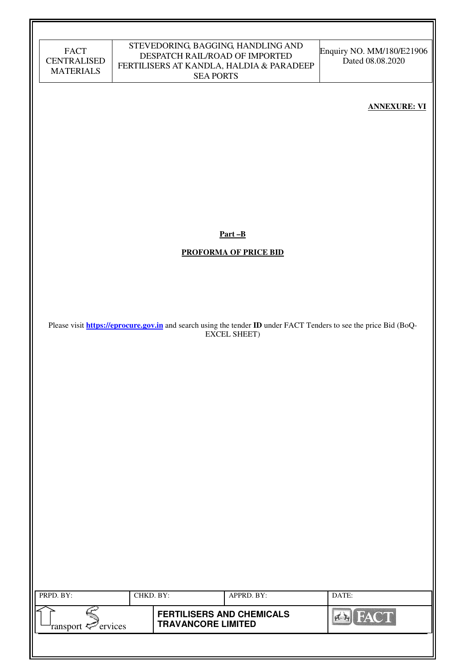| FACT               |
|--------------------|
| <b>CENTRALISED</b> |
| <b>MATERIALS</b>   |

#### STEVEDORING, BAGGING, HANDLING AND DESPATCH RAIL/ROAD OF IMPORTED FERTILISERS AT KANDLA, HALDIA & PARADEEP SEA PORTS

Enquiry NO. MM/180/E21906 Dated 08.08.2020

#### **ANNEXURE: VI**

**Part –B** 

**PROFORMA OF PRICE BID** 

Please visit **https://eprocure.gov.in** and search using the tender **ID** under FACT Tenders to see the price Bid (BoQ-EXCEL SHEET)

| PRPD. BY:                      | CHKD. BY: |                                                               | $APPRD$ . BY: | DATE: |
|--------------------------------|-----------|---------------------------------------------------------------|---------------|-------|
| ransport $\mathcal{P}$ ervices |           | <b>FERTILISERS AND CHEMICALS</b><br><b>TRAVANCORE LIMITED</b> |               | HAY   |
|                                |           |                                                               |               |       |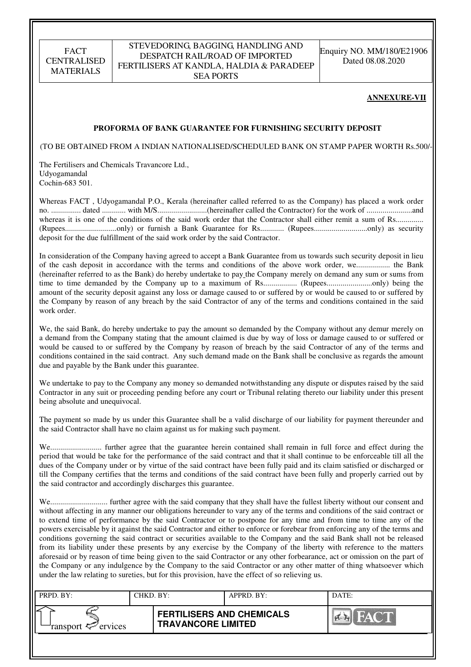#### STEVEDORING, BAGGING, HANDLING AND DESPATCH RAIL/ROAD OF IMPORTED FERTILISERS AT KANDLA, HALDIA & PARADEEP SEA PORTS

Enquiry NO. MM/180/E21906 Dated 08.08.2020

#### **ANNEXURE-VII**

#### **PROFORMA OF BANK GUARANTEE FOR FURNISHING SECURITY DEPOSIT**

(TO BE OBTAINED FROM A INDIAN NATIONALISED/SCHEDULED BANK ON STAMP PAPER WORTH Rs.500/-)

The Fertilisers and Chemicals Travancore Ltd., Udyogamandal Cochin-683 501.

Whereas FACT , Udyogamandal P.O., Kerala (hereinafter called referred to as the Company) has placed a work order no. ............... dated ............ with M/S.........................(hereinafter called the Contractor) for the work of .......................and whereas it is one of the conditions of the said work order that the Contractor shall either remit a sum of Rs............... (Rupees..........................only) or furnish a Bank Guarantee for Rs............ (Rupees...........................only) as security deposit for the due fulfillment of the said work order by the said Contractor.

In consideration of the Company having agreed to accept a Bank Guarantee from us towards such security deposit in lieu of the cash deposit in accordance with the terms and conditions of the above work order, we................. the Bank (hereinafter referred to as the Bank) do hereby undertake to pay the Company merely on demand any sum or sums from time to time demanded by the Company up to a maximum of Rs................. (Rupees.......................only) being the amount of the security deposit against any loss or damage caused to or suffered by or would be caused to or suffered by the Company by reason of any breach by the said Contractor of any of the terms and conditions contained in the said work order.

We, the said Bank, do hereby undertake to pay the amount so demanded by the Company without any demur merely on a demand from the Company stating that the amount claimed is due by way of loss or damage caused to or suffered or would be caused to or suffered by the Company by reason of breach by the said Contractor of any of the terms and conditions contained in the said contract. Any such demand made on the Bank shall be conclusive as regards the amount due and payable by the Bank under this guarantee.

We undertake to pay to the Company any money so demanded notwithstanding any dispute or disputes raised by the said Contractor in any suit or proceeding pending before any court or Tribunal relating thereto our liability under this present being absolute and unequivocal.

The payment so made by us under this Guarantee shall be a valid discharge of our liability for payment thereunder and the said Contractor shall have no claim against us for making such payment.

We.......................... further agree that the guarantee herein contained shall remain in full force and effect during the period that would be take for the performance of the said contract and that it shall continue to be enforceable till all the dues of the Company under or by virtue of the said contract have been fully paid and its claim satisfied or discharged or till the Company certifies that the terms and conditions of the said contract have been fully and properly carried out by the said contractor and accordingly discharges this guarantee.

We............................. further agree with the said company that they shall have the fullest liberty without our consent and without affecting in any manner our obligations hereunder to vary any of the terms and conditions of the said contract or to extend time of performance by the said Contractor or to postpone for any time and from time to time any of the powers exercisable by it against the said Contractor and either to enforce or forebear from enforcing any of the terms and conditions governing the said contract or securities available to the Company and the said Bank shall not be released from its liability under these presents by any exercise by the Company of the liberty with reference to the matters aforesaid or by reason of time being given to the said Contractor or any other forbearance, act or omission on the part of the Company or any indulgence by the Company to the said Contractor or any other matter of thing whatsoever which under the law relating to sureties, but for this provision, have the effect of so relieving us.

| PRPD. BY:                     | CHKD. BY: |                                                               | APPRD. BY: | DATE:              |
|-------------------------------|-----------|---------------------------------------------------------------|------------|--------------------|
| ransport <sup>2</sup> ervices |           | <b>FERTILISERS AND CHEMICALS</b><br><b>TRAVANCORE LIMITED</b> |            | <b>THEAT OF BU</b> |
|                               |           |                                                               |            |                    |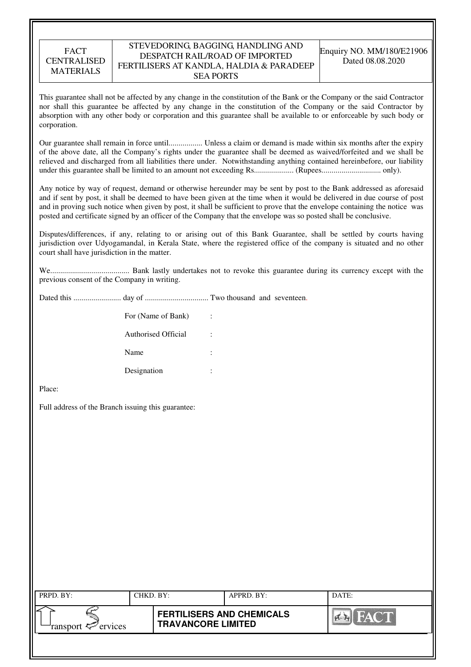#### STEVEDORING, BAGGING, HANDLING AND DESPATCH RAIL/ROAD OF IMPORTED FERTILISERS AT KANDLA, HALDIA & PARADEEP SEA PORTS

This guarantee shall not be affected by any change in the constitution of the Bank or the Company or the said Contractor nor shall this guarantee be affected by any change in the constitution of the Company or the said Contractor by absorption with any other body or corporation and this guarantee shall be available to or enforceable by such body or corporation.

Our guarantee shall remain in force until................. Unless a claim or demand is made within six months after the expiry of the above date, all the Company's rights under the guarantee shall be deemed as waived/forfeited and we shall be relieved and discharged from all liabilities there under. Notwithstanding anything contained hereinbefore, our liability under this guarantee shall be limited to an amount not exceeding Rs.................... (Rupees.............................. only).

Any notice by way of request, demand or otherwise hereunder may be sent by post to the Bank addressed as aforesaid and if sent by post, it shall be deemed to have been given at the time when it would be delivered in due course of post and in proving such notice when given by post, it shall be sufficient to prove that the envelope containing the notice was posted and certificate signed by an officer of the Company that the envelope was so posted shall be conclusive.

Disputes/differences, if any, relating to or arising out of this Bank Guarantee, shall be settled by courts having jurisdiction over Udyogamandal, in Kerala State, where the registered office of the company is situated and no other court shall have jurisdiction in the matter.

We........................................ Bank lastly undertakes not to revoke this guarantee during its currency except with the previous consent of the Company in writing.

Dated this ........................ day of ................................ Two thousand and seventeen.

| For (Name of Bank)  | ÷      |
|---------------------|--------|
| Authorised Official | ٠      |
| Name                | ٠<br>٠ |
| Designation         | ٠      |

Place:

Full address of the Branch issuing this guarantee:

| PRPD. BY:                 | CHKD. BY: |                                                               | $APPRD$ . BY: | DATE: |
|---------------------------|-----------|---------------------------------------------------------------|---------------|-------|
| ransport $\sharp$ ervices |           | <b>FERTILISERS AND CHEMICALS</b><br><b>TRAVANCORE LIMITED</b> |               | FACT  |
|                           |           |                                                               |               |       |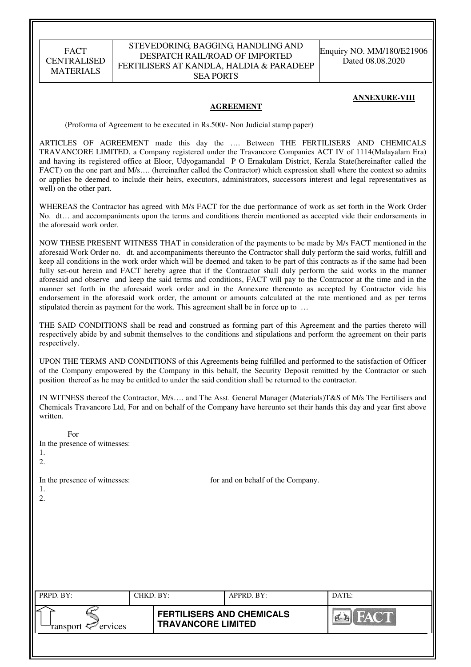#### STEVEDORING, BAGGING, HANDLING AND DESPATCH RAIL/ROAD OF IMPORTED FERTILISERS AT KANDLA, HALDIA & PARADEEP SEA PORTS

Enquiry NO. MM/180/E21906 Dated 08.08.2020

#### **ANNEXURE-VIII**

#### **AGREEMENT**

(Proforma of Agreement to be executed in Rs.500/- Non Judicial stamp paper)

ARTICLES OF AGREEMENT made this day the …. Between THE FERTILISERS AND CHEMICALS TRAVANCORE LIMITED, a Company registered under the Travancore Companies ACT IV of 1114(Malayalam Era) and having its registered office at Eloor, Udyogamandal P O Ernakulam District, Kerala State(hereinafter called the FACT) on the one part and M/s.... (hereinafter called the Contractor) which expression shall where the context so admits or applies be deemed to include their heirs, executors, administrators, successors interest and legal representatives as well) on the other part.

WHEREAS the Contractor has agreed with M/s FACT for the due performance of work as set forth in the Work Order No. dt… and accompaniments upon the terms and conditions therein mentioned as accepted vide their endorsements in the aforesaid work order.

NOW THESE PRESENT WITNESS THAT in consideration of the payments to be made by M/s FACT mentioned in the aforesaid Work Order no. dt. and accompaniments thereunto the Contractor shall duly perform the said works, fulfill and keep all conditions in the work order which will be deemed and taken to be part of this contracts as if the same had been fully set-out herein and FACT hereby agree that if the Contractor shall duly perform the said works in the manner aforesaid and observe and keep the said terms and conditions, FACT will pay to the Contractor at the time and in the manner set forth in the aforesaid work order and in the Annexure thereunto as accepted by Contractor vide his endorsement in the aforesaid work order, the amount or amounts calculated at the rate mentioned and as per terms stipulated therein as payment for the work. This agreement shall be in force up to …

THE SAID CONDITIONS shall be read and construed as forming part of this Agreement and the parties thereto will respectively abide by and submit themselves to the conditions and stipulations and perform the agreement on their parts respectively.

UPON THE TERMS AND CONDITIONS of this Agreements being fulfilled and performed to the satisfaction of Officer of the Company empowered by the Company in this behalf, the Security Deposit remitted by the Contractor or such position thereof as he may be entitled to under the said condition shall be returned to the contractor.

IN WITNESS thereof the Contractor, M/s…. and The Asst. General Manager (Materials)T&S of M/s The Fertilisers and Chemicals Travancore Ltd, For and on behalf of the Company have hereunto set their hands this day and year first above written.

| For<br>In the presence of witnesses:<br>1.<br>2. |           |                                                               |                                   |            |
|--------------------------------------------------|-----------|---------------------------------------------------------------|-----------------------------------|------------|
| In the presence of witnesses:<br>1.<br>2.        |           |                                                               | for and on behalf of the Company. |            |
| PRPD. BY:                                        | CHKD. BY: |                                                               | APPRD. BY:                        | DATE:      |
| ransport $\epsilon$ <sup>-</sup> ervices         |           | <b>FERTILISERS AND CHEMICALS</b><br><b>TRAVANCORE LIMITED</b> |                                   | <b>FAC</b> |
|                                                  |           |                                                               |                                   |            |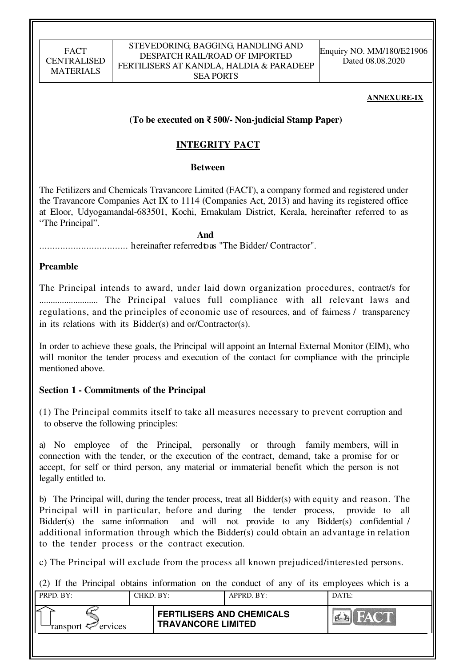#### STEVEDORING, BAGGING, HANDLING AND DESPATCH RAIL/ROAD OF IMPORTED FERTILISERS AT KANDLA, HALDIA & PARADEEP SEA PORTS

Enquiry NO. MM/180/E21906 Dated 08.08.2020

#### **ANNEXURE-IX**

## **(To be executed on** ₹ **500/- Non-judicial Stamp Paper)**

# **INTEGRITY PACT**

#### **Between**

The Fetilizers and Chemicals Travancore Limited (FACT), a company formed and registered under the Travancore Companies Act IX to 1114 (Companies Act, 2013) and having its registered office at Eloor, Udyogamandal-683501, Kochi, Ernakulam District, Kerala, hereinafter referred to as "The Principal".

 **And** 

.................................. hereinafter referred to as "The Bidder/ Contractor".

## **Preamble**

The Principal intends to award, under laid down organization procedures, contract/s for .......................... The Principal values full compliance with all relevant laws and regulations, and the principles of economic use of resources, and of fairness / transparency in its relations with its Bidder(s) and or/Contractor(s).

In order to achieve these goals, the Principal will appoint an Internal External Monitor (EIM), who will monitor the tender process and execution of the contact for compliance with the principle mentioned above.

# **Section 1 - Commitments of the Principal**

(1) The Principal commits itself to take all measures necessary to prevent corruption and to observe the following principles:

a) No employee of the Principal, personally or through family members, will in connection with the tender, or the execution of the contract, demand, take a promise for or accept, for self or third person, any material or immaterial benefit which the person is not legally entitled to.

b) The Principal will, during the tender process, treat all Bidder(s) with equity and reason. The Principal will in particular, before and during the tender process, provide to all Bidder(s) the same information and will not provide to any Bidder(s) confidential / additional information through which the Bidder(s) could obtain an advantage in relation to the tender process or the contract execution.

c) The Principal will exclude from the process all known prejudiced/interested persons.

(2) If the Principal obtains information on the conduct of any of its employees which is a

| PRPD. BY:                  | CHKD, BY: |                                                               | APPRD. BY: | DATE: |
|----------------------------|-----------|---------------------------------------------------------------|------------|-------|
| ransport $\approx$ ervices |           | <b>FERTILISERS AND CHEMICALS</b><br><b>TRAVANCORE LIMITED</b> |            |       |
|                            |           |                                                               |            |       |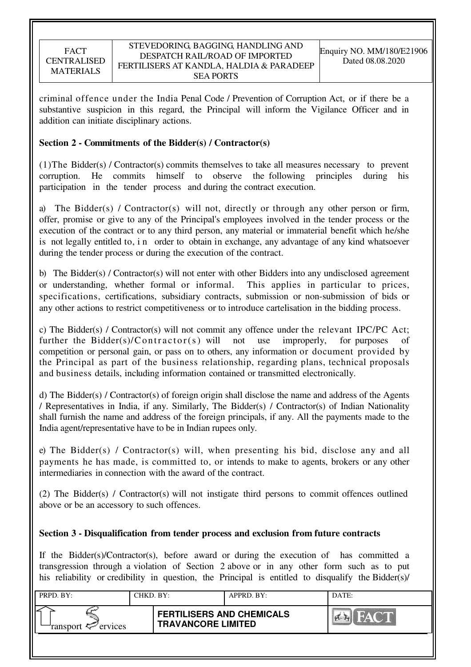criminal offence under the India Penal Code / Prevention of Corruption Act, or if there be a substantive suspicion in this regard, the Principal will inform the Vigilance Officer and in addition can initiate disciplinary actions.

## **Section 2 - Commitments of the Bidder(s) / Contractor(s)**

(1)The Bidder(s) / Contractor(s) commits themselves to take all measures necessary to prevent corruption. He commits himself to observe the following principles during his participation in the tender process and during the contract execution.

a) The Bidder(s) / Contractor(s) will not, directly or through any other person or firm, offer, promise or give to any of the Principal's employees involved in the tender process or the execution of the contract or to any third person, any material or immaterial benefit which he/she is not legally entitled to, i n order to obtain in exchange, any advantage of any kind whatsoever during the tender process or during the execution of the contract.

b) The Bidder(s) / Contractor(s) will not enter with other Bidders into any undisclosed agreement or understanding, whether formal or informal. This applies in particular to prices, specifications, certifications, subsidiary contracts, submission or non-submission of bids or any other actions to restrict competitiveness or to introduce cartelisation in the bidding process.

c) The Bidder(s) / Contractor(s) will not commit any offence under the relevant IPC/PC Act; further the Bidder(s)/Contractor(s) will not use improperly, for purposes of competition or personal gain, or pass on to others, any information or document provided by the Principal as part of the business relationship, regarding plans, technical proposals and business details, including information contained or transmitted electronically.

d) The Bidder(s) / Contractor(s) of foreign origin shall disclose the name and address of the Agents / Representatives in India, if any. Similarly, The Bidder(s) / Contractor(s) of Indian Nationality shall furnish the name and address of the foreign principals, if any. All the payments made to the India agent/representative have to be in Indian rupees only.

e) The Bidder(s) / Contractor(s) will, when presenting his bid, disclose any and all payments he has made, is committed to, or intends to make to agents, brokers or any other intermediaries in connection with the award of the contract.

(2) The Bidder(s) / Contractor(s) will not instigate third persons to commit offences outlined above or be an accessory to such offences.

# **Section 3 - Disqualification from tender process and exclusion from future contracts**

If the Bidder(s)/Contractor(s), before award or during the execution of has committed a transgression through a violation of Section 2 above or in any other form such as to put his reliability or credibility in question, the Principal is entitled to disqualify the Bidder(s)/

| PRPD. BY:                     | CHKD. BY: |                                                               | APPRD. BY: | DATE: |
|-------------------------------|-----------|---------------------------------------------------------------|------------|-------|
| ransport <sup>2</sup> ervices |           | <b>FERTILISERS AND CHEMICALS</b><br><b>TRAVANCORE LIMITED</b> |            |       |
|                               |           |                                                               |            |       |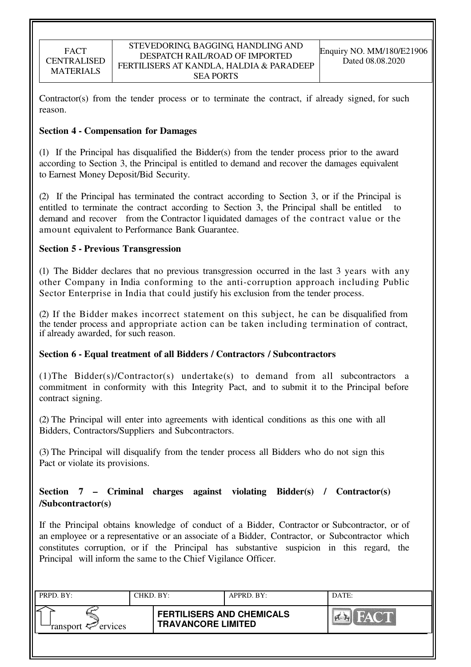Contractor(s) from the tender process or to terminate the contract, if already signed, for such reason.

## **Section 4 - Compensation for Damages**

(1) If the Principal has disqualified the Bidder(s) from the tender process prior to the award according to Section 3, the Principal is entitled to demand and recover the damages equivalent to Earnest Money Deposit/Bid Security.

(2) If the Principal has terminated the contract according to Section 3, or if the Principal is entitled to terminate the contract according to Section 3, the Principal shall be entitled demand and recover from the Contractor l iquidated damages of the contract value or the amount equivalent to Performance Bank Guarantee.

## **Section 5 - Previous Transgression**

(1) The Bidder declares that no previous transgression occurred in the last 3 years with any other Company in India conforming to the anti-corruption approach including Public Sector Enterprise in India that could justify his exclusion from the tender process.

(2) If the Bidder makes incorrect statement on this subject, he can be disqualified from the tender process and appropriate action can be taken including termination of contract, if already awarded, for such reason.

# **Section 6 - Equal treatment of all Bidders / Contractors / Subcontractors**

(1)The Bidder(s)/Contractor(s) undertake(s) to demand from all subcontractors a commitment in conformity with this Integrity Pact, and to submit it to the Principal before contract signing.

(2) The Principal will enter into agreements with identical conditions as this one with all Bidders, Contractors/Suppliers and Subcontractors.

(3) The Principal will disqualify from the tender process all Bidders who do not sign this Pact or violate its provisions.

# **Section 7 – Criminal charges against violating Bidder(s) / Contractor(s) /Subcontractor(s)**

If the Principal obtains knowledge of conduct of a Bidder, Contractor or Subcontractor, or of an employee or a representative or an associate of a Bidder, Contractor, or Subcontractor which constitutes corruption, or if the Principal has substantive suspicion in this regard, the Principal will inform the same to the Chief Vigilance Officer.

| PRPD. BY:                     | CHKD. BY: |                                                               | APPRD. BY: | DATE:                 |
|-------------------------------|-----------|---------------------------------------------------------------|------------|-----------------------|
| ransport <sup>2</sup> ervices |           | <b>FERTILISERS AND CHEMICALS</b><br><b>TRAVANCORE LIMITED</b> |            | <b>FACT</b><br>$\sim$ |
|                               |           |                                                               |            |                       |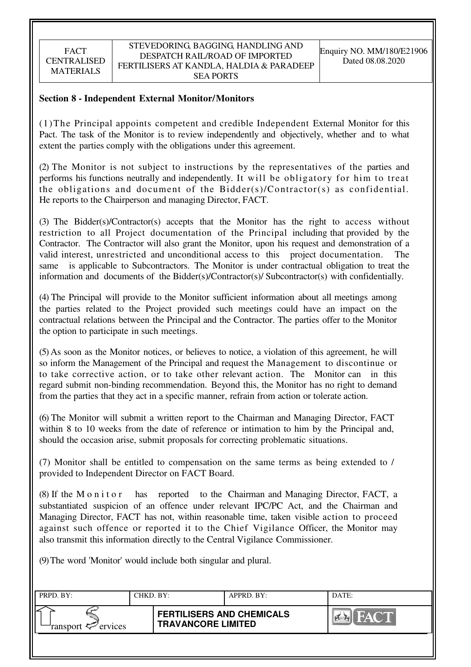## **Section 8 - Independent External Monitor/Monitors**

(1)The Principal appoints competent and credible Independent External Monitor for this Pact. The task of the Monitor is to review independently and objectively, whether and to what extent the parties comply with the obligations under this agreement.

(2) The Monitor is not subject to instructions by the representatives of the parties and performs his functions neutrally and independently. It will be obligatory for him to treat the obligations and document of the Bidder(s)/Contractor(s) as confidential. He reports to the Chairperson and managing Director, FACT.

(3) The Bidder(s)/Contractor(s) accepts that the Monitor has the right to access without restriction to all Project documentation of the Principal including that provided by the Contractor. The Contractor will also grant the Monitor, upon his request and demonstration of a valid interest, unrestricted and unconditional access to this project documentation. The same is applicable to Subcontractors. The Monitor is under contractual obligation to treat the information and documents of the Bidder(s)/Contractor(s)/ Subcontractor(s) with confidentially.

(4) The Principal will provide to the Monitor sufficient information about all meetings among the parties related to the Project provided such meetings could have an impact on the contractual relations between the Principal and the Contractor. The parties offer to the Monitor the option to participate in such meetings.

(5) As soon as the Monitor notices, or believes to notice, a violation of this agreement, he will so inform the Management of the Principal and request the Management to discontinue or to take corrective action, or to take other relevant action. The Monitor can in this regard submit non-binding recommendation. Beyond this, the Monitor has no right to demand from the parties that they act in a specific manner, refrain from action or tolerate action.

(6) The Monitor will submit a written report to the Chairman and Managing Director, FACT within 8 to 10 weeks from the date of reference or intimation to him by the Principal and, should the occasion arise, submit proposals for correcting problematic situations.

(7) Monitor shall be entitled to compensation on the same terms as being extended to / provided to Independent Director on FACT Board.

(8) If the M o n i t o r has reported to the Chairman and Managing Director, FACT, a substantiated suspicion of an offence under relevant IPC/PC Act, and the Chairman and Managing Director, FACT has not, within reasonable time, taken visible action to proceed against such offence or reported it to the Chief Vigilance Officer, the Monitor may also transmit this information directly to the Central Vigilance Commissioner.

(9) The word 'Monitor' would include both singular and plural.

| PRPD. BY:              | CHKD. BY: |                                                               | APPRD. BY: | DATE:                |
|------------------------|-----------|---------------------------------------------------------------|------------|----------------------|
| ransport $\ll$ ervices |           | <b>FERTILISERS AND CHEMICALS</b><br><b>TRAVANCORE LIMITED</b> |            | <b>THAT AND REAL</b> |
|                        |           |                                                               |            |                      |